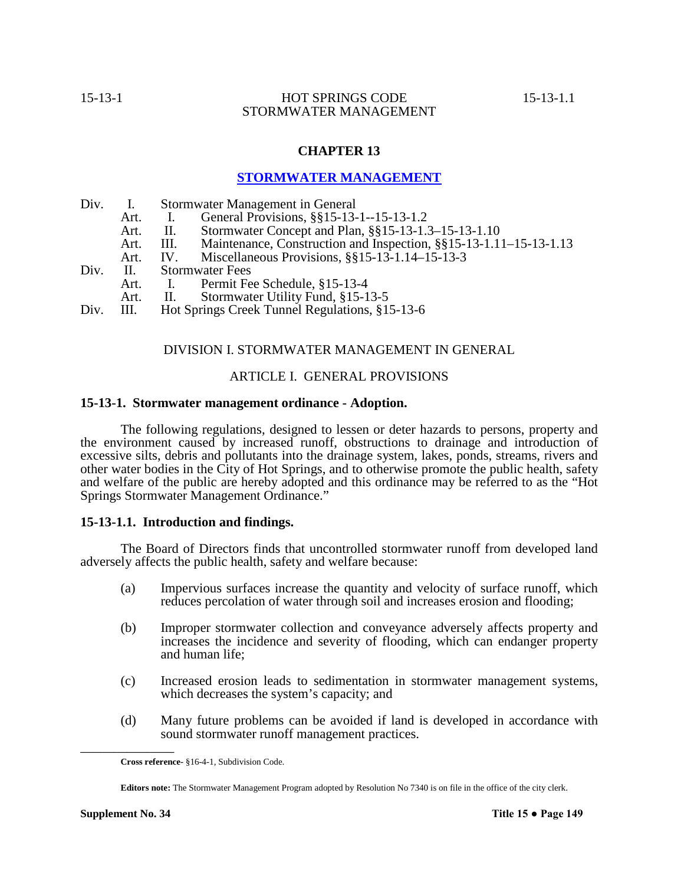# **CHAPTER 13**

# **STORMWATER MANAGEMENT**

| Div. I.    |             |                        | Stormwater Management in General                                  |  |  |  |
|------------|-------------|------------------------|-------------------------------------------------------------------|--|--|--|
|            | Art.        |                        | General Provisions, §§15-13-1--15-13-1.2                          |  |  |  |
|            | Art.        | H.                     | Stormwater Concept and Plan, §§15-13-1.3-15-13-1.10               |  |  |  |
|            | Art.        | III.                   | Maintenance, Construction and Inspection, §§15-13-1.11-15-13-1.13 |  |  |  |
|            | Art.        | IV.                    | Miscellaneous Provisions, $\S$ §15-13-1.14-15-13-3                |  |  |  |
| $Div.$ II. |             | <b>Stormwater Fees</b> |                                                                   |  |  |  |
|            | Art.        |                        | I. Permit Fee Schedule, §15-13-4                                  |  |  |  |
|            | $\Delta$ rt |                        | Stormwater Hility Fund 815-13-5                                   |  |  |  |

Art. II. Stormwater Utility Fund, §15-13-5<br>III. Hot Springs Creek Tunnel Regulations, \$1 Div. III. Hot Springs Creek Tunnel Regulations, §15-13-6

# DIVISION I. STORMWATER MANAGEMENT IN GENERAL

# ARTICLE I. GENERAL PROVISIONS

### **15-13-1. Stormwater management ordinance - Adoption.**

The following regulations, designed to lessen or deter hazards to persons, property and the environment caused by increased runoff, obstructions to drainage and introduction of excessive silts, debris and pollutants into the drainage system, lakes, ponds, streams, rivers and other water bodies in the City of Hot Springs, and to otherwise promote the public health, safety and welfare of the public are hereby adopted and this ordinance may be referred to as the "Hot Springs Stormwater Management Ordinance."

## **15-13-1.1. Introduction and findings.**

The Board of Directors finds that uncontrolled stormwater runoff from developed land adversely affects the public health, safety and welfare because:

- (a) Impervious surfaces increase the quantity and velocity of surface runoff, which reduces percolation of water through soil and increases erosion and flooding;
- (b) Improper stormwater collection and conveyance adversely affects property and increases the incidence and severity of flooding, which can endanger property and human life;
- (c) Increased erosion leads to sedimentation in stormwater management systems, which decreases the system's capacity; and
- (d) Many future problems can be avoided if land is developed in accordance with sound stormwater runoff management practices.

**Cross reference-** §16-4-1, Subdivision Code.

**Editors note:** The Stormwater Management Program adopted by Resolution No 7340 is on file in the office of the city clerk.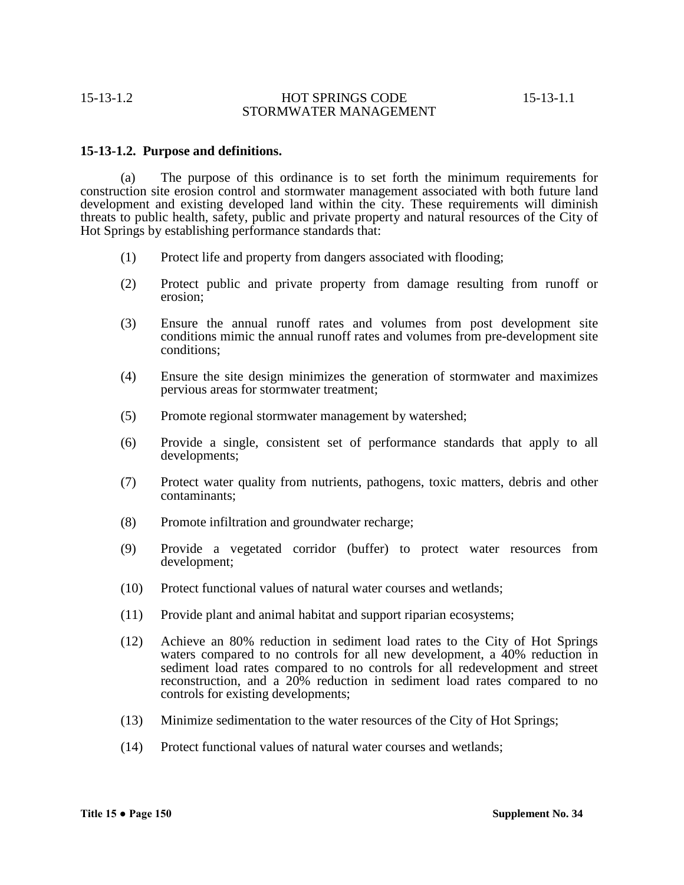# **15-13-1.2. Purpose and definitions.**

(a) The purpose of this ordinance is to set forth the minimum requirements for construction site erosion control and stormwater management associated with both future land development and existing developed land within the city. These requirements will diminish threats to public health, safety, public and private property and natural resources of the City of Hot Springs by establishing performance standards that:

- (1) Protect life and property from dangers associated with flooding;
- (2) Protect public and private property from damage resulting from runoff or erosion;
- (3) Ensure the annual runoff rates and volumes from post development site conditions mimic the annual runoff rates and volumes from pre-development site conditions;
- (4) Ensure the site design minimizes the generation of stormwater and maximizes pervious areas for stormwater treatment;
- (5) Promote regional stormwater management by watershed;
- (6) Provide a single, consistent set of performance standards that apply to all developments;
- (7) Protect water quality from nutrients, pathogens, toxic matters, debris and other contaminants;
- (8) Promote infiltration and groundwater recharge;
- (9) Provide a vegetated corridor (buffer) to protect water resources from development;
- (10) Protect functional values of natural water courses and wetlands;
- (11) Provide plant and animal habitat and support riparian ecosystems;
- (12) Achieve an 80% reduction in sediment load rates to the City of Hot Springs waters compared to no controls for all new development, a 40% reduction in sediment load rates compared to no controls for all redevelopment and street reconstruction, and a 20% reduction in sediment load rates compared to no controls for existing developments;
- (13) Minimize sedimentation to the water resources of the City of Hot Springs;
- (14) Protect functional values of natural water courses and wetlands;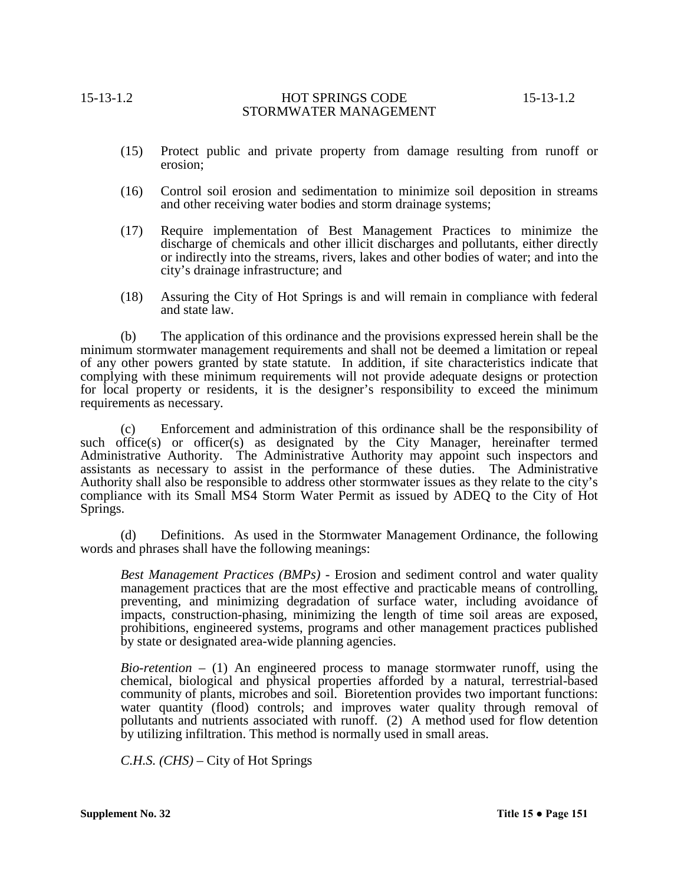- (15) Protect public and private property from damage resulting from runoff or erosion;
- (16) Control soil erosion and sedimentation to minimize soil deposition in streams and other receiving water bodies and storm drainage systems;
- (17) Require implementation of Best Management Practices to minimize the discharge of chemicals and other illicit discharges and pollutants, either directly or indirectly into the streams, rivers, lakes and other bodies of water; and into the city's drainage infrastructure; and
- (18) Assuring the City of Hot Springs is and will remain in compliance with federal and state law.

(b) The application of this ordinance and the provisions expressed herein shall be the minimum stormwater management requirements and shall not be deemed a limitation or repeal of any other powers granted by state statute. In addition, if site characteristics indicate that complying with these minimum requirements will not provide adequate designs or protection for local property or residents, it is the designer's responsibility to exceed the minimum requirements as necessary.

(c) Enforcement and administration of this ordinance shall be the responsibility of such office(s) or officer(s) as designated by the City Manager, hereinafter termed Administrative Authority. The Administrative Authority may appoint such inspectors and assistants as necessary to assist in the performance of these duties. The Administrative Authority shall also be responsible to address other stormwater issues as they relate to the city's compliance with its Small MS4 Storm Water Permit as issued by ADEQ to the City of Hot Springs.

(d) Definitions.As used in the Stormwater Management Ordinance, the following words and phrases shall have the following meanings:

*Best Management Practices (BMPs)* - Erosion and sediment control and water quality management practices that are the most effective and practicable means of controlling, preventing, and minimizing degradation of surface water, including avoidance of impacts, construction-phasing, minimizing the length of time soil areas are exposed, prohibitions, engineered systems, programs and other management practices published by state or designated area-wide planning agencies.

*Bio-retention* – (1) An engineered process to manage stormwater runoff, using the chemical, biological and physical properties afforded by a natural, terrestrial-based community of plants, microbes and soil. Bioretention provides two important functions: water quantity (flood) controls; and improves water quality through removal of pollutants and nutrients associated with runoff. (2) A method used for flow detention by utilizing infiltration. This method is normally used in small areas.

*C.H.S. (CHS)* – City of Hot Springs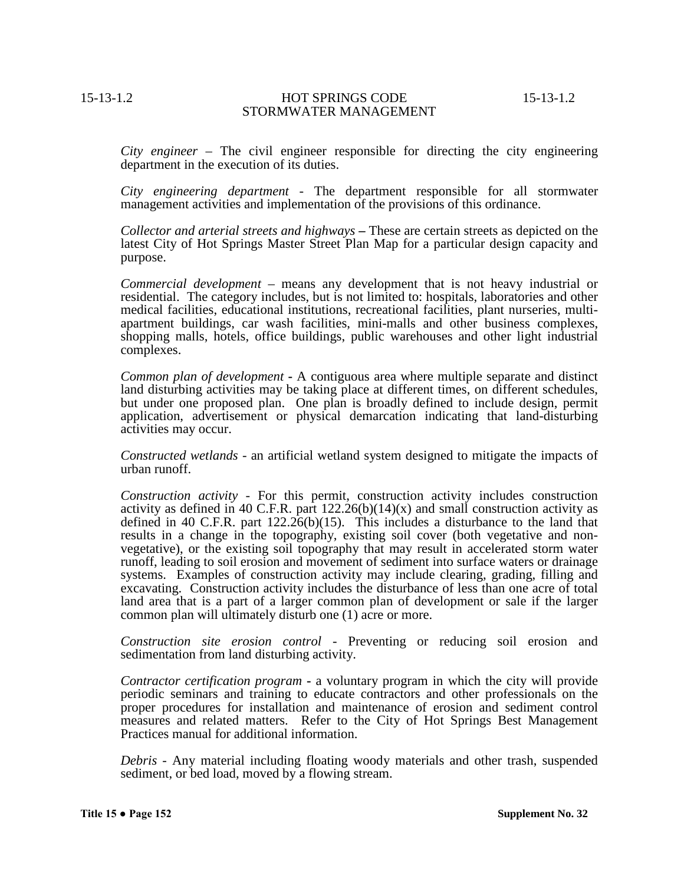*City engineer* – The civil engineer responsible for directing the city engineering department in the execution of its duties.

*City engineering department* - The department responsible for all stormwater management activities and implementation of the provisions of this ordinance.

*Collector and arterial streets and highways* **–** These are certain streets as depicted on the latest City of Hot Springs Master Street Plan Map for a particular design capacity and purpose.

*Commercial development* – means any development that is not heavy industrial or residential. The category includes, but is not limited to: hospitals, laboratories and other medical facilities, educational institutions, recreational facilities, plant nurseries, multi- apartment buildings, car wash facilities, mini-malls and other business complexes, shopping malls, hotels, office buildings, public warehouses and other light industrial complexes.

*Common plan of development* **-** A contiguous area where multiple separate and distinct land disturbing activities may be taking place at different times, on different schedules, but under one proposed plan. One plan is broadly defined to include design, permit application, advertisement or physical demarcation indicating that land-disturbing activities may occur.

*Constructed wetlands* - an artificial wetland system designed to mitigate the impacts of urban runoff.

*Construction activity* - For this permit, construction activity includes construction activity as defined in 40 C.F.R. part  $122.26(b)(14)(x)$  and small construction activity as defined in 40 C.F.R. part  $122.26(b)(15)$ . This includes a disturbance to the land that results in a change in the topography, existing soil cover (both vegetative and nonvegetative), or the existing soil topography that may result in accelerated storm water runoff, leading to soil erosion and movement of sediment into surface waters or drainage systems. Examples of construction activity may include clearing, grading, filling and excavating. Construction activity includes the disturbance of less than one acre of total land area that is a part of a larger common plan of development or sale if the larger common plan will ultimately disturb one (1) acre or more.

*Construction site erosion control* - Preventing or reducing soil erosion and sedimentation from land disturbing activity.

*Contractor certification program* **-** a voluntary program in which the city will provide periodic seminars and training to educate contractors and other professionals on the proper procedures for installation and maintenance of erosion and sediment control measures and related matters. Refer to the City of Hot Springs Best Management Practices manual for additional information.

*Debris* - Any material including floating woody materials and other trash, suspended sediment, or bed load, moved by a flowing stream.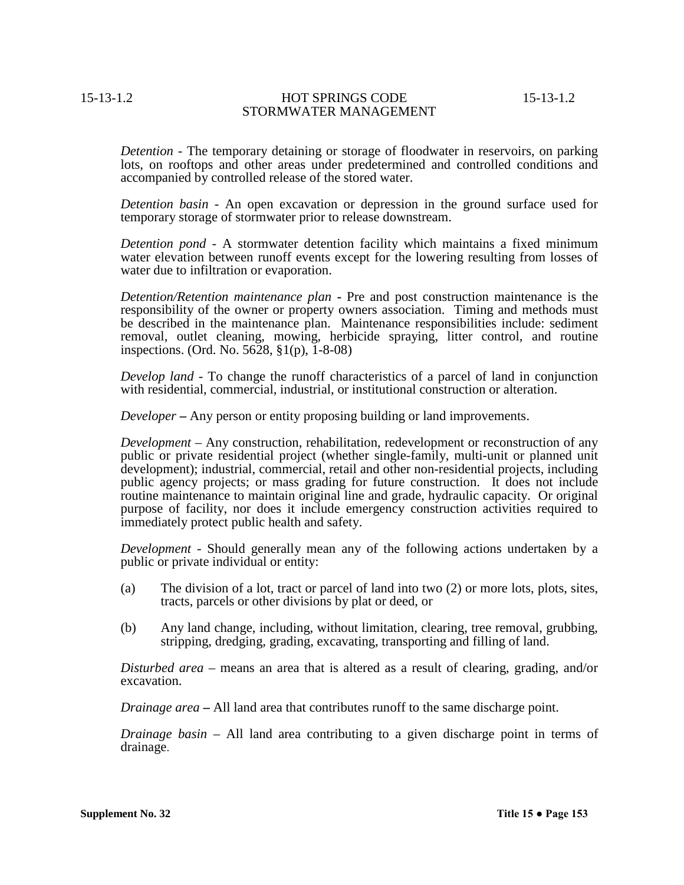*Detention* - The temporary detaining or storage of floodwater in reservoirs, on parking lots, on rooftops and other areas under predetermined and controlled conditions and accompanied by controlled release of the stored water.

*Detention basin* - An open excavation or depression in the ground surface used for temporary storage of stormwater prior to release downstream.

*Detention pond* - A stormwater detention facility which maintains a fixed minimum water elevation between runoff events except for the lowering resulting from losses of water due to infiltration or evaporation.

*Detention/Retention maintenance plan* **-** Pre and post construction maintenance is the responsibility of the owner or property owners association. Timing and methods must be described in the maintenance plan. Maintenance responsibilities include: sediment removal, outlet cleaning, mowing, herbicide spraying, litter control, and routine inspections. (Ord. No. 5628, §1(p), 1-8-08)

*Develop land* - To change the runoff characteristics of a parcel of land in conjunction with residential, commercial, industrial, or institutional construction or alteration.

*Developer* **–** Any person or entity proposing building or land improvements.

*Development* – Any construction, rehabilitation, redevelopment or reconstruction of any public or private residential project (whether single-family, multi-unit or planned unit development); industrial, commercial, retail and other non-residential projects, including public agency projects; or mass grading for future construction. It does not include routine maintenance to maintain original line and grade, hydraulic capacity. Or original purpose of facility, nor does it include emergency construction activities required to immediately protect public health and safety.

*Development* - Should generally mean any of the following actions undertaken by a public or private individual or entity:

- (a) The division of a lot, tract or parcel of land into two (2) or more lots, plots, sites, tracts, parcels or other divisions by plat or deed, or
- (b) Any land change, including, without limitation, clearing, tree removal, grubbing, stripping, dredging, grading, excavating, transporting and filling of land.

*Disturbed area* – means an area that is altered as a result of clearing, grading, and/or excavation.

*Drainage area* **–** All land area that contributes runoff to the same discharge point.

*Drainage basin* – All land area contributing to a given discharge point in terms of drainage.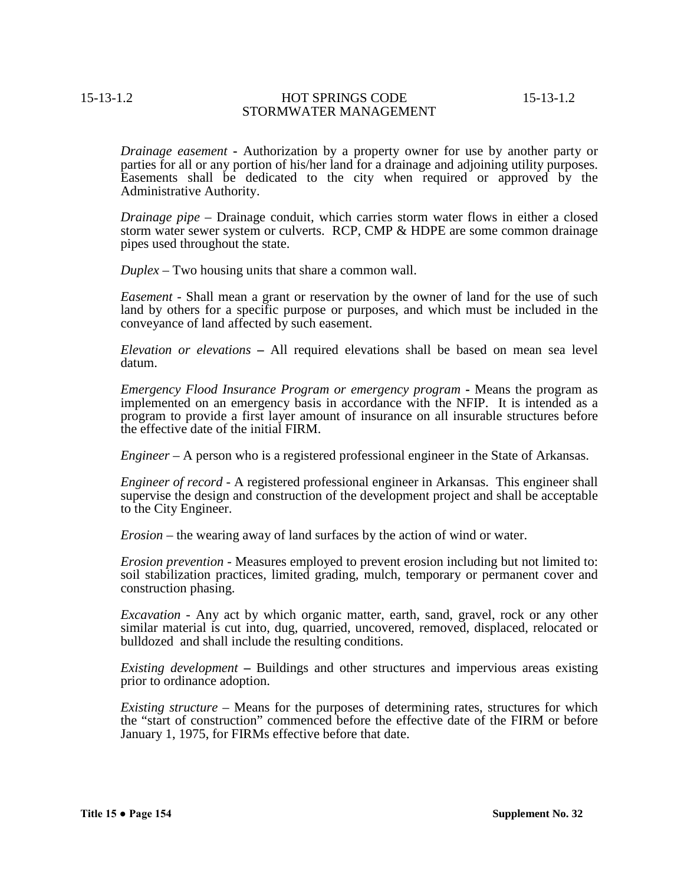*Drainage easement* **-** Authorization by a property owner for use by another party or parties for all or any portion of his/her land for a drainage and adjoining utility purposes. Easements shall be dedicated to the city when required or approved by the Administrative Authority.

*Drainage pipe* – Drainage conduit, which carries storm water flows in either a closed storm water sewer system or culverts. RCP, CMP & HDPE are some common drainage pipes used throughout the state.

*Duplex* – Two housing units that share a common wall.

*Easement* - Shall mean a grant or reservation by the owner of land for the use of such land by others for a specific purpose or purposes, and which must be included in the conveyance of land affected by such easement.

*Elevation or elevations* **–** All required elevations shall be based on mean sea level datum.

*Emergency Flood Insurance Program or emergency program* **-** Means the program as implemented on an emergency basis in accordance with the NFIP. It is intended as a program to provide a first layer amount of insurance on all insurable structures before the effective date of the initial FIRM.

*Engineer* – A person who is a registered professional engineer in the State of Arkansas.

*Engineer of record* - A registered professional engineer in Arkansas. This engineer shall supervise the design and construction of the development project and shall be acceptable to the City Engineer.

*Erosion* – the wearing away of land surfaces by the action of wind or water.

*Erosion prevention* - Measures employed to prevent erosion including but not limited to: soil stabilization practices, limited grading, mulch, temporary or permanent cover and construction phasing.

*Excavation* - Any act by which organic matter, earth, sand, gravel, rock or any other similar material is cut into, dug, quarried, uncovered, removed, displaced, relocated or bulldozed and shall include the resulting conditions.

*Existing development* **–** Buildings and other structures and impervious areas existing prior to ordinance adoption.

*Existing structure* – Means for the purposes of determining rates, structures for which the "start of construction" commenced before the effective date of the FIRM or before January 1, 1975, for FIRMs effective before that date.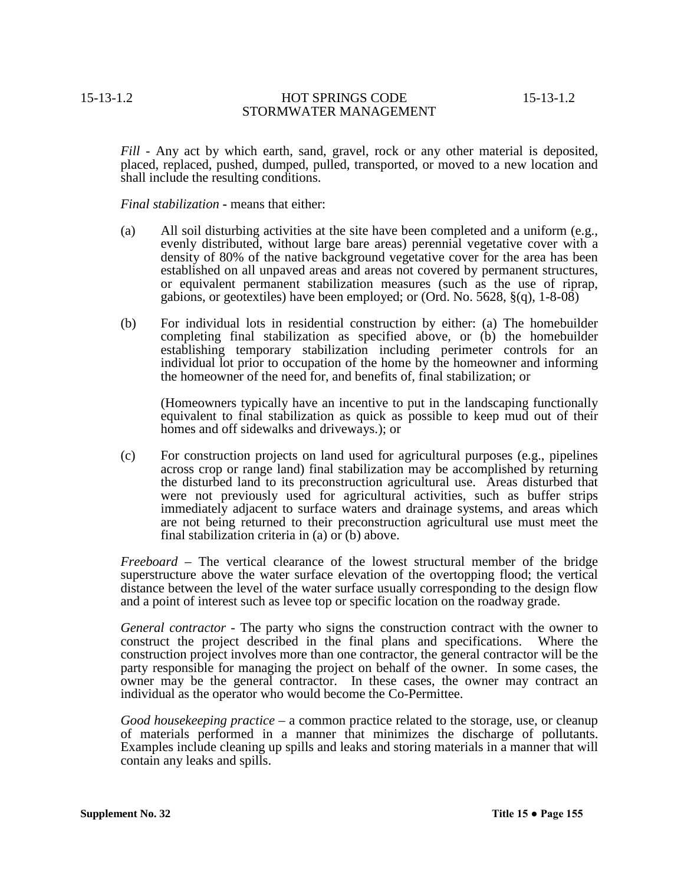*Fill* - Any act by which earth, sand, gravel, rock or any other material is deposited, placed, replaced, pushed, dumped, pulled, transported, or moved to a new location and shall include the resulting conditions.

*Final stabilization* **-** means that either:

- (a) All soil disturbing activities at the site have been completed and a uniform (e.g., evenly distributed, without large bare areas) perennial vegetative cover with a density of 80% of the native background vegetative cover for the area has been established on all unpaved areas and areas not covered by permanent structures, or equivalent permanent stabilization measures (such as the use of riprap, gabions, or geotextiles) have been employed; or (Ord. No. 5628, §(q), 1-8-08)
- (b) For individual lots in residential construction by either: (a) The homebuilder completing final stabilization as specified above, or (b) the homebuilder establishing temporary stabilization including perimeter controls for an individual lot prior to occupation of the home by the homeowner and informing the homeowner of the need for, and benefits of, final stabilization; or

(Homeowners typically have an incentive to put in the landscaping functionally equivalent to final stabilization as quick as possible to keep mud out of their homes and off sidewalks and driveways.); or

(c) For construction projects on land used for agricultural purposes (e.g., pipelines across crop or range land) final stabilization may be accomplished by returning the disturbed land to its preconstruction agricultural use. Areas disturbed that were not previously used for agricultural activities, such as buffer strips immediately adjacent to surface waters and drainage systems, and areas which are not being returned to their preconstruction agricultural use must meet the final stabilization criteria in (a) or (b) above.

*Freeboard* – The vertical clearance of the lowest structural member of the bridge superstructure above the water surface elevation of the overtopping flood; the vertical distance between the level of the water surface usually corresponding to the design flow and a point of interest such as levee top or specific location on the roadway grade.

*General contractor* - The party who signs the construction contract with the owner to construct the project described in the final plans and specifications. Where the construction project involves more than one contractor, the general contractor will be the party responsible for managing the project on behalf of the owner. In some cases, the owner may be the general contractor. In these cases, the owner may contract an individual as the operator who would become the Co-Permittee.

*Good housekeeping practice* – a common practice related to the storage, use, or cleanup of materials performed in a manner that minimizes the discharge of pollutants. Examples include cleaning up spills and leaks and storing materials in a manner that will contain any leaks and spills.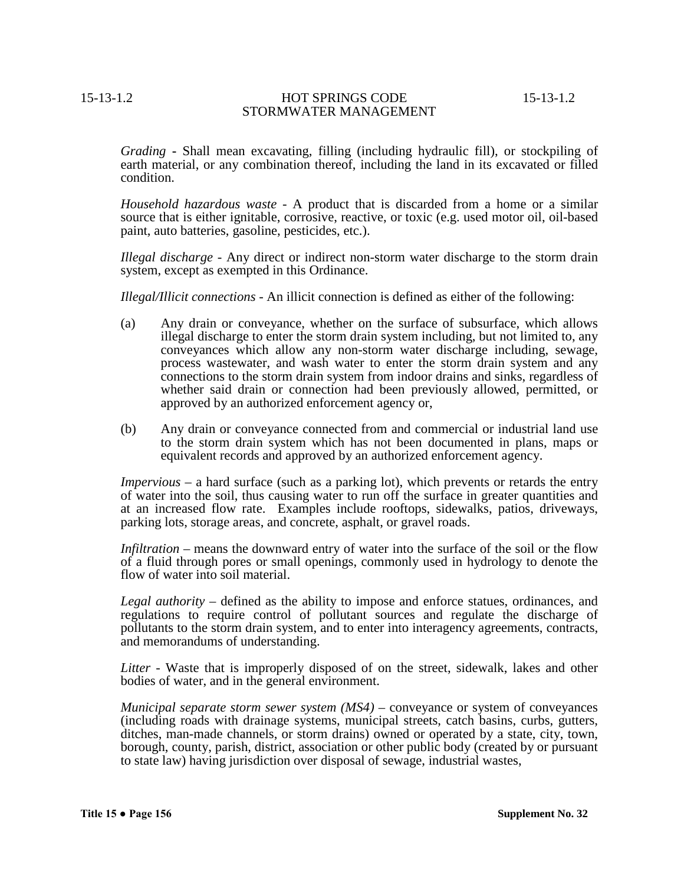*Grading* **-** Shall mean excavating, filling (including hydraulic fill), or stockpiling of earth material, or any combination thereof, including the land in its excavated or filled condition.

*Household hazardous waste* - A product that is discarded from a home or a similar source that is either ignitable, corrosive, reactive, or toxic (e.g. used motor oil, oil-based paint, auto batteries, gasoline, pesticides, etc.).

*Illegal discharge* - Any direct or indirect non-storm water discharge to the storm drain system, except as exempted in this Ordinance.

*Illegal/Illicit connections* - An illicit connection is defined as either of the following:

- (a) Any drain or conveyance, whether on the surface of subsurface, which allows illegal discharge to enter the storm drain system including, but not limited to, any conveyances which allow any non-storm water discharge including, sewage, process wastewater, and wash water to enter the storm drain system and any connections to the storm drain system from indoor drains and sinks, regardless of whether said drain or connection had been previously allowed, permitted, or approved by an authorized enforcement agency or,
- (b) Any drain or conveyance connected from and commercial or industrial land use to the storm drain system which has not been documented in plans, maps or equivalent records and approved by an authorized enforcement agency.

*Impervious* – a hard surface (such as a parking lot), which prevents or retards the entry of water into the soil, thus causing water to run off the surface in greater quantities and at an increased flow rate. Examples include rooftops, sidewalks, patios, driveways, parking lots, storage areas, and concrete, asphalt, or gravel roads.

*Infiltration* – means the downward entry of water into the surface of the soil or the flow of a fluid through pores or small openings, commonly used in hydrology to denote the flow of water into soil material.

*Legal authority* – defined as the ability to impose and enforce statues, ordinances, and regulations to require control of pollutant sources and regulate the discharge of pollutants to the storm drain system, and to enter into interagency agreements, contracts, and memorandums of understanding.

*Litter* - Waste that is improperly disposed of on the street, sidewalk, lakes and other bodies of water, and in the general environment.

*Municipal separate storm sewer system (MS4)* – conveyance or system of conveyances (including roads with drainage systems, municipal streets, catch basins, curbs, gutters, ditches, man-made channels, or storm drains) owned or operated by a state, city, town, borough, county, parish, district, association or other public body (created by or pursuant to state law) having jurisdiction over disposal of sewage, industrial wastes,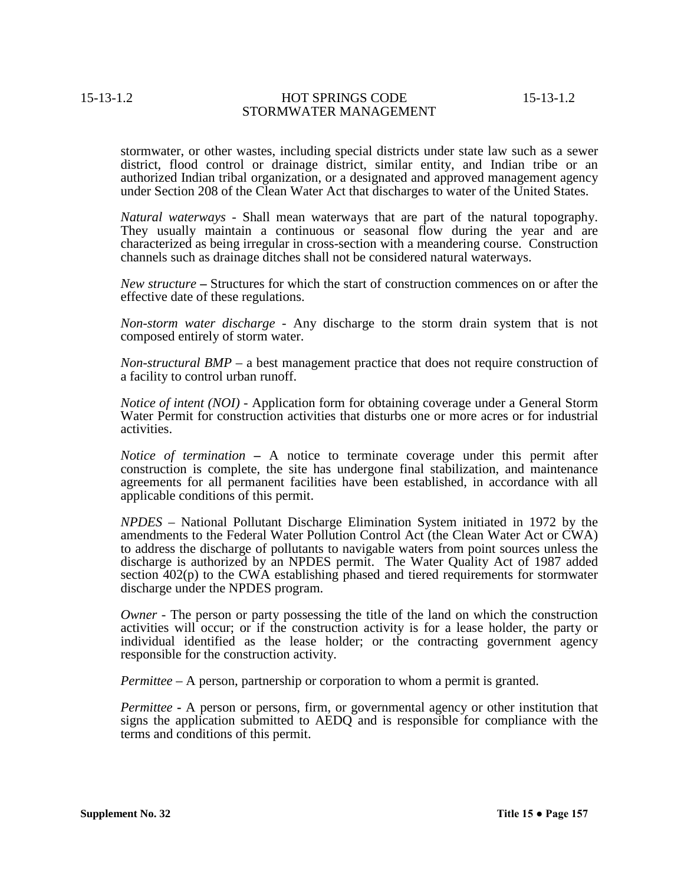stormwater, or other wastes, including special districts under state law such as a sewer district, flood control or drainage district, similar entity, and Indian tribe or an authorized Indian tribal organization, or a designated and approved management agency under Section 208 of the Clean Water Act that discharges to water of the United States.

*Natural waterways* - Shall mean waterways that are part of the natural topography. They usually maintain a continuous or seasonal flow during the year and are characterized as being irregular in cross-section with a meandering course. Construction channels such as drainage ditches shall not be considered natural waterways.

*New structure* **–** Structures for which the start of construction commences on or after the effective date of these regulations.

*Non-storm water discharge* - Any discharge to the storm drain system that is not composed entirely of storm water.

*Non-structural BMP* – a best management practice that does not require construction of a facility to control urban runoff.

*Notice of intent (NOI)* - Application form for obtaining coverage under a General Storm Water Permit for construction activities that disturbs one or more acres or for industrial activities.

*Notice of termination* **–** A notice to terminate coverage under this permit after construction is complete, the site has undergone final stabilization, and maintenance agreements for all permanent facilities have been established, in accordance with all applicable conditions of this permit.

*NPDES* – National Pollutant Discharge Elimination System initiated in 1972 by the amendments to the Federal Water Pollution Control Act (the Clean Water Act or CWA) to address the discharge of pollutants to navigable waters from point sources unless the discharge is authorized by an NPDES permit. The Water Quality Act of 1987 added section 402(p) to the CWA establishing phased and tiered requirements for stormwater discharge under the NPDES program.

*Owner* - The person or party possessing the title of the land on which the construction activities will occur; or if the construction activity is for a lease holder, the party or individual identified as the lease holder; or the contracting government agency responsible for the construction activity.

*Permittee* – A person, partnership or corporation to whom a permit is granted.

*Permittee* **-** A person or persons, firm, or governmental agency or other institution that signs the application submitted to AEDQ and is responsible for compliance with the terms and conditions of this permit.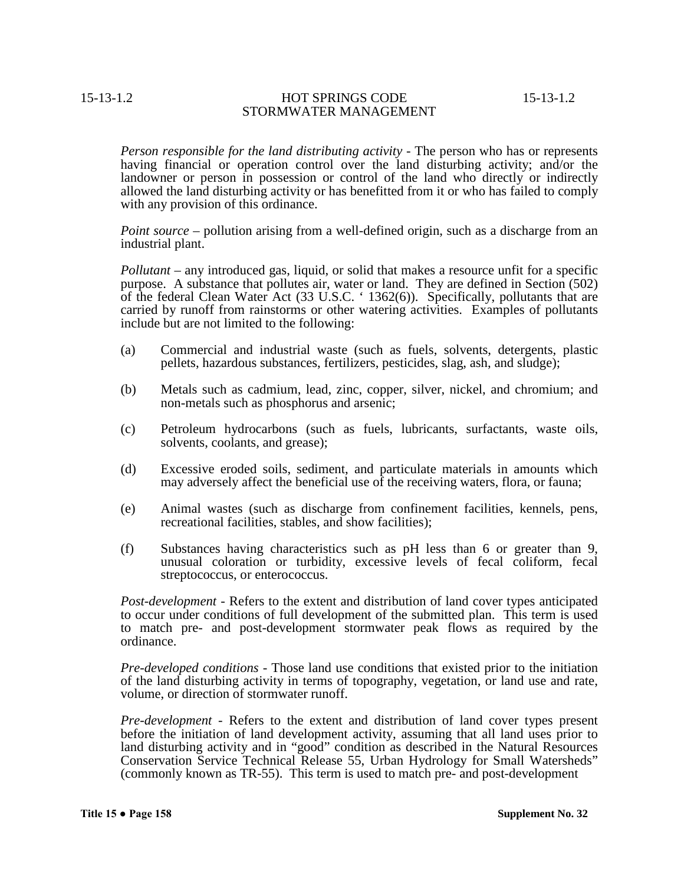*Person responsible for the land distributing activity* - The person who has or represents having financial or operation control over the land disturbing activity; and/or the landowner or person in possession or control of the land who directly or indirectly allowed the land disturbing activity or has benefitted from it or who has failed to comply with any provision of this ordinance.

*Point source* – pollution arising from a well-defined origin, such as a discharge from an industrial plant.

*Pollutant* – any introduced gas, liquid, or solid that makes a resource unfit for a specific purpose. A substance that pollutes air, water or land. They are defined in Section (502) of the federal Clean Water Act (33 U.S.C. ' 1362(6)). Specifically, pollutants that are carried by runoff from rainstorms or other watering activities. Examples of pollutants include but are not limited to the following:

- (a) Commercial and industrial waste (such as fuels, solvents, detergents, plastic pellets, hazardous substances, fertilizers, pesticides, slag, ash, and sludge);
- (b) Metals such as cadmium, lead, zinc, copper, silver, nickel, and chromium; and non-metals such as phosphorus and arsenic;
- (c) Petroleum hydrocarbons (such as fuels, lubricants, surfactants, waste oils, solvents, coolants, and grease);
- (d) Excessive eroded soils, sediment, and particulate materials in amounts which may adversely affect the beneficial use of the receiving waters, flora, or fauna;
- (e) Animal wastes (such as discharge from confinement facilities, kennels, pens, recreational facilities, stables, and show facilities);
- (f) Substances having characteristics such as pH less than 6 or greater than 9, unusual coloration or turbidity, excessive levels of fecal coliform, fecal streptococcus, or enterococcus.

*Post-development* - Refers to the extent and distribution of land cover types anticipated to occur under conditions of full development of the submitted plan. This term is used to match pre- and post-development stormwater peak flows as required by the ordinance.

*Pre-developed conditions* - Those land use conditions that existed prior to the initiation of the land disturbing activity in terms of topography, vegetation, or land use and rate, volume, or direction of stormwater runoff.

*Pre-development* - Refers to the extent and distribution of land cover types present before the initiation of land development activity, assuming that all land uses prior to land disturbing activity and in "good" condition as described in the Natural Resources Conservation Service Technical Release 55, Urban Hydrology for Small Watersheds" (commonly known as TR-55). This term is used to match pre- and post-development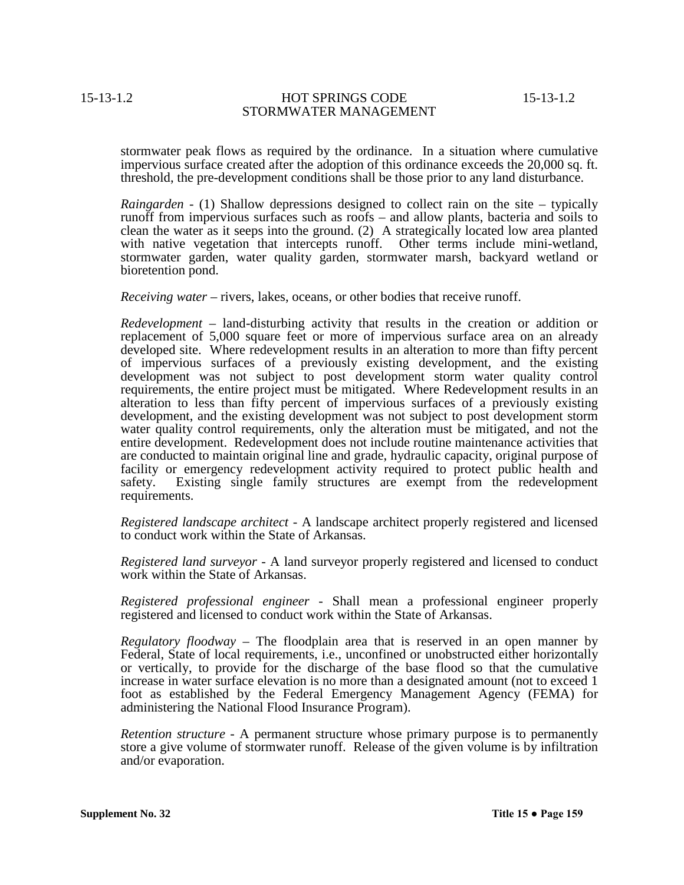stormwater peak flows as required by the ordinance. In a situation where cumulative impervious surface created after the adoption of this ordinance exceeds the 20,000 sq. ft. threshold, the pre-development conditions shall be those prior to any land disturbance.

*Raingarden* - (1) Shallow depressions designed to collect rain on the site – typically runoff from impervious surfaces such as roofs – and allow plants, bacteria and soils to clean the water as it seeps into the ground. (2) A strategically located low area planted with native vegetation that intercepts runoff. Other terms include mini-wetland, stormwater garden, water quality garden, stormwater marsh, backyard wetland or bioretention pond.

*Receiving water* – rivers, lakes, oceans, or other bodies that receive runoff.

*Redevelopment* – land-disturbing activity that results in the creation or addition or replacement of 5,000 square feet or more of impervious surface area on an already developed site. Where redevelopment results in an alteration to more than fifty percent of impervious surfaces of a previously existing development, and the existing development was not subject to post development storm water quality control requirements, the entire project must be mitigated. Where Redevelopment results in an alteration to less than fifty percent of impervious surfaces of a previously existing development, and the existing development was not subject to post development storm water quality control requirements, only the alteration must be mitigated, and not the entire development. Redevelopment does not include routine maintenance activities that are conducted to maintain original line and grade, hydraulic capacity, original purpose of facility or emergency redevelopment activity required to protect public health and safety. Existing single family structures are exempt from the redevelopment requirements.

*Registered landscape architect* - A landscape architect properly registered and licensed to conduct work within the State of Arkansas.

*Registered land surveyor* - A land surveyor properly registered and licensed to conduct work within the State of Arkansas.

*Registered professional engineer* - Shall mean a professional engineer properly registered and licensed to conduct work within the State of Arkansas.

*Regulatory floodway* – The floodplain area that is reserved in an open manner by Federal, State of local requirements, i.e., unconfined or unobstructed either horizontally or vertically, to provide for the discharge of the base flood so that the cumulative increase in water surface elevation is no more than a designated amount (not to exceed 1 foot as established by the Federal Emergency Management Agency (FEMA) for administering the National Flood Insurance Program).

*Retention structure* - A permanent structure whose primary purpose is to permanently store a give volume of stormwater runoff. Release of the given volume is by infiltration and/or evaporation.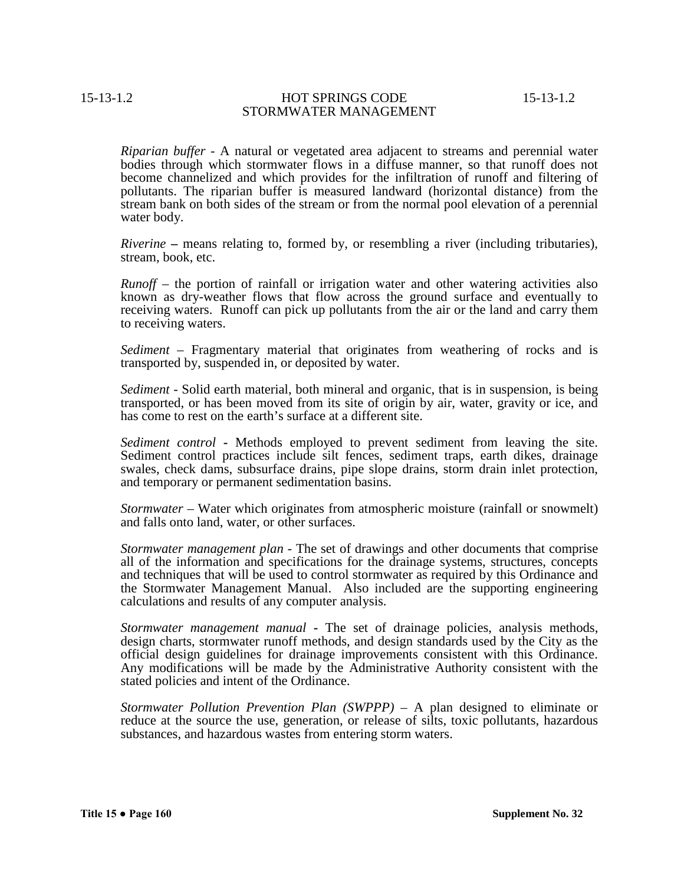*Riparian buffer* - A natural or vegetated area adjacent to streams and perennial water bodies through which stormwater flows in a diffuse manner, so that runoff does not become channelized and which provides for the infiltration of runoff and filtering of pollutants. The riparian buffer is measured landward (horizontal distance) from the stream bank on both sides of the stream or from the normal pool elevation of a perennial water body.

*Riverine* **–** means relating to, formed by, or resembling a river (including tributaries), stream, book, etc.

*Runoff* – the portion of rainfall or irrigation water and other watering activities also known as dry-weather flows that flow across the ground surface and eventually to receiving waters. Runoff can pick up pollutants from the air or the land and carry them to receiving waters.

*Sediment* – Fragmentary material that originates from weathering of rocks and is transported by, suspended in, or deposited by water.

*Sediment* - Solid earth material, both mineral and organic, that is in suspension, is being transported, or has been moved from its site of origin by air, water, gravity or ice, and has come to rest on the earth's surface at a different site.

*Sediment control* **-** Methods employed to prevent sediment from leaving the site. Sediment control practices include silt fences, sediment traps, earth dikes, drainage swales, check dams, subsurface drains, pipe slope drains, storm drain inlet protection, and temporary or permanent sedimentation basins.

*Stormwater* – Water which originates from atmospheric moisture (rainfall or snowmelt) and falls onto land, water, or other surfaces.

*Stormwater management plan* - The set of drawings and other documents that comprise all of the information and specifications for the drainage systems, structures, concepts and techniques that will be used to control stormwater as required by this Ordinance and the Stormwater Management Manual. Also included are the supporting engineering calculations and results of any computer analysis.

*Stormwater management manual* **-** The set of drainage policies, analysis methods, design charts, stormwater runoff methods, and design standards used by the City as the official design guidelines for drainage improvements consistent with this Ordinance. Any modifications will be made by the Administrative Authority consistent with the stated policies and intent of the Ordinance.

*Stormwater Pollution Prevention Plan (SWPPP)* – A plan designed to eliminate or reduce at the source the use, generation, or release of silts, toxic pollutants, hazardous substances, and hazardous wastes from entering storm waters.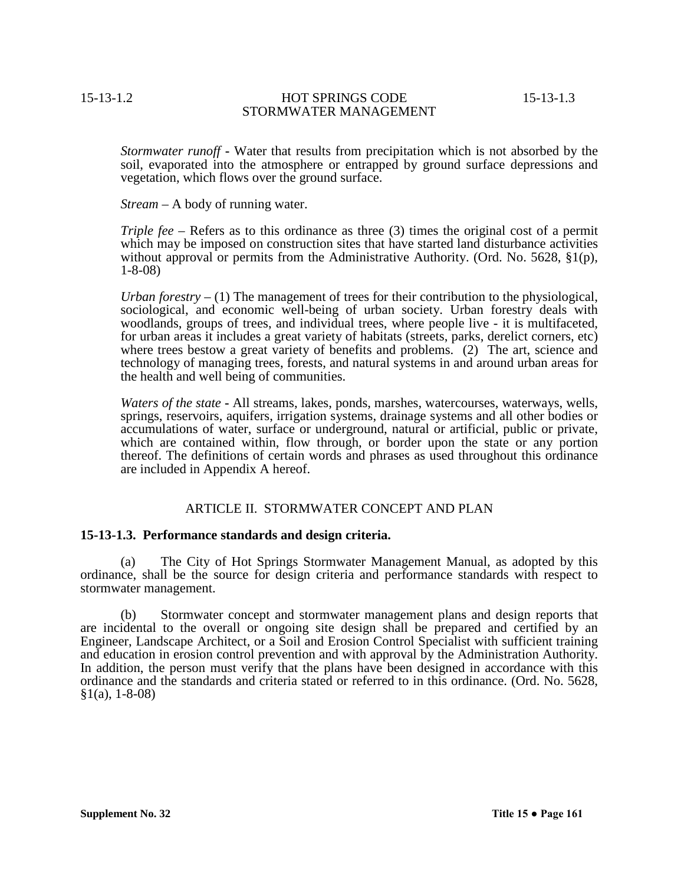*Stormwater runoff* **-** Water that results from precipitation which is not absorbed by the soil, evaporated into the atmosphere or entrapped by ground surface depressions and vegetation, which flows over the ground surface.

*Stream* – A body of running water.

*Triple fee* – Refers as to this ordinance as three (3) times the original cost of a permit which may be imposed on construction sites that have started land disturbance activities without approval or permits from the Administrative Authority. (Ord. No. 5628, §1(p), 1-8-08)

*Urban forestry* – (1) The management of trees for their contribution to the physiological, sociological, and economic well-being of urban society. Urban forestry deals with woodlands, groups of trees, and individual trees, where people live - it is multifaceted, for urban areas it includes a great variety of habitats (streets, parks, derelict corners, etc) where trees bestow a great variety of benefits and problems. (2) The art, science and technology of managing trees, forests, and natural systems in and around urban areas for the health and well being of communities.

*Waters of the state* **-** All streams, lakes, ponds, marshes, watercourses, waterways, wells, springs, reservoirs, aquifers, irrigation systems, drainage systems and all other bodies or accumulations of water, surface or underground, natural or artificial, public or private, which are contained within, flow through, or border upon the state or any portion thereof. The definitions of certain words and phrases as used throughout this ordinance are included in Appendix A hereof.

# ARTICLE II. STORMWATER CONCEPT AND PLAN

# **15-13-1.3. Performance standards and design criteria.**

(a) The City of Hot Springs Stormwater Management Manual, as adopted by this ordinance, shall be the source for design criteria and performance standards with respect to stormwater management.

(b) Stormwater concept and stormwater management plans and design reports that are incidental to the overall or ongoing site design shall be prepared and certified by an Engineer, Landscape Architect, or a Soil and Erosion Control Specialist with sufficient training and education in erosion control prevention and with approval by the Administration Authority. In addition, the person must verify that the plans have been designed in accordance with this ordinance and the standards and criteria stated or referred to in this ordinance. (Ord. No. 5628,  $§1(a), 1-8-08)$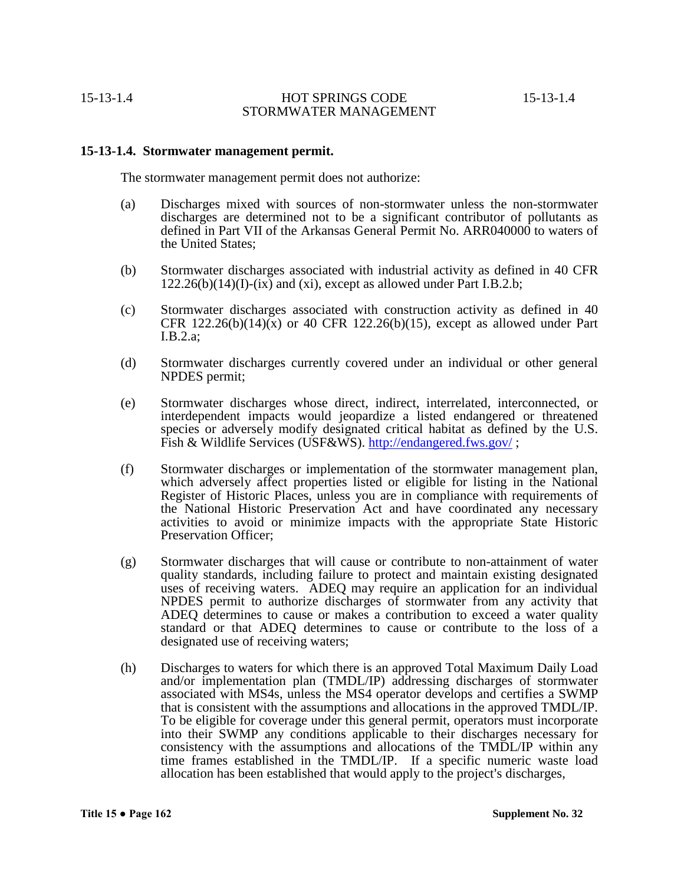## **15-13-1.4. Stormwater management permit.**

The stormwater management permit does not authorize:

- (a) Discharges mixed with sources of non-stormwater unless the non-stormwater discharges are determined not to be a significant contributor of pollutants as defined in Part VII of the Arkansas General Permit No. ARR040000 to waters of the United States;
- (b) Stormwater discharges associated with industrial activity as defined in 40 CFR  $122.26(b)(14)(I)-(ix)$  and (xi), except as allowed under Part I.B.2.b;
- (c) Stormwater discharges associated with construction activity as defined in 40 CFR  $122.26(b)(14)(x)$  or 40 CFR  $122.26(b)(15)$ , except as allowed under Part I.B.2.a;
- (d) Stormwater discharges currently covered under an individual or other general NPDES permit;
- (e) Stormwater discharges whose direct, indirect, interrelated, interconnected, or interdependent impacts would jeopardize a listed endangered or threatened species or adversely modify designated critical habitat as defined by the U.S. Fish & Wildlife Services (USF&WS). http://endangered.fws.gov/;
- (f) Stormwater discharges or implementation of the stormwater management plan, which adversely affect properties listed or eligible for listing in the National Register of Historic Places, unless you are in compliance with requirements of the National Historic Preservation Act and have coordinated any necessary activities to avoid or minimize impacts with the appropriate State Historic Preservation Officer;
- (g) Stormwater discharges that will cause or contribute to non-attainment of water quality standards, including failure to protect and maintain existing designated uses of receiving waters. ADEQ may require an application for an individual NPDES permit to authorize discharges of stormwater from any activity that ADEQ determines to cause or makes a contribution to exceed a water quality standard or that ADEQ determines to cause or contribute to the loss of a designated use of receiving waters;
- (h) Discharges to waters for which there is an approved Total Maximum Daily Load and/or implementation plan (TMDL/IP) addressing discharges of stormwater associated with MS4s, unless the MS4 operator develops and certifies a SWMP that is consistent with the assumptions and allocations in the approved TMDL/IP. To be eligible for coverage under this general permit, operators must incorporate into their SWMP any conditions applicable to their discharges necessary for consistency with the assumptions and allocations of the TMDL/IP within any time frames established in the TMDL/IP. If a specific numeric waste load allocation has been established that would apply to the project's discharges,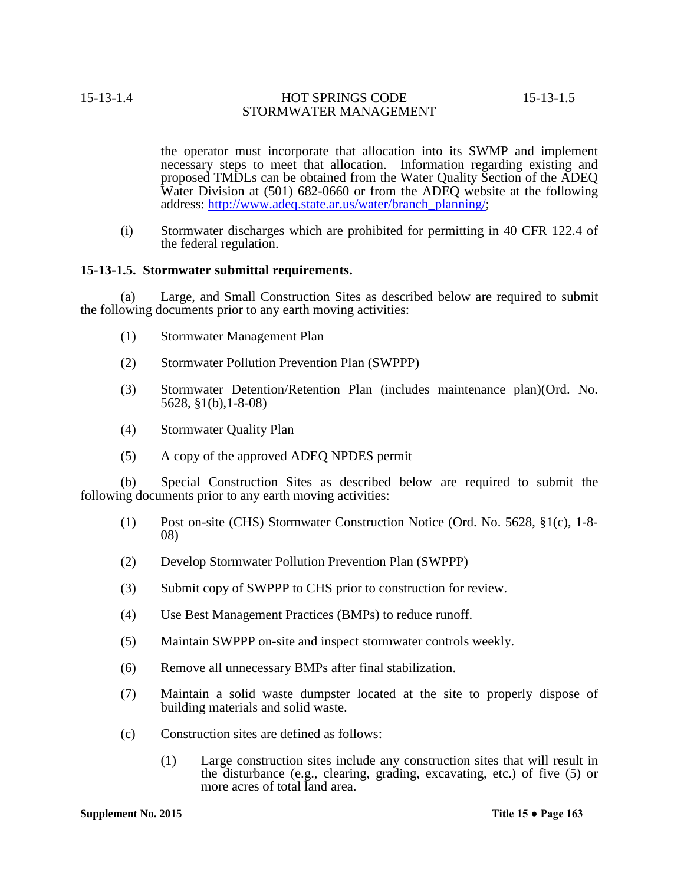the operator must incorporate that allocation into its SWMP and implement necessary steps to meet that allocation. Information regarding existing and proposed TMDLs can be obtained from the Water Quality Section of the ADEQ Water Division at (501) 682-0660 or from the ADEQ website at the following address: http://www.adeq.state.ar.us/water/branch\_planning/;

(i) Stormwater discharges which are prohibited for permitting in 40 CFR 122.4 of the federal regulation.

### **15-13-1.5. Stormwater submittal requirements.**

(a) Large, and Small Construction Sites as described below are required to submit the following documents prior to any earth moving activities:

- (1) Stormwater Management Plan
- (2) Stormwater Pollution Prevention Plan (SWPPP)
- (3) Stormwater Detention/Retention Plan (includes maintenance plan)(Ord. No. 5628, §1(b),1-8-08)
- (4) Stormwater Quality Plan
- (5) A copy of the approved ADEQ NPDES permit

(b) Special Construction Sites as described below are required to submit the following documents prior to any earth moving activities:

- (1) Post on-site (CHS) Stormwater Construction Notice (Ord. No. 5628, §1(c), 1-8- 08)
- (2) Develop Stormwater Pollution Prevention Plan (SWPPP)
- (3) Submit copy of SWPPP to CHS prior to construction for review.
- (4) Use Best Management Practices (BMPs) to reduce runoff.
- (5) Maintain SWPPP on-site and inspect stormwater controls weekly.
- (6) Remove all unnecessary BMPs after final stabilization.
- (7) Maintain a solid waste dumpster located at the site to properly dispose of building materials and solid waste.
- (c) Construction sites are defined as follows:
	- (1) Large construction sites include any construction sites that will result in the disturbance (e.g., clearing, grading, excavating, etc.) of five (5) or more acres of total land area.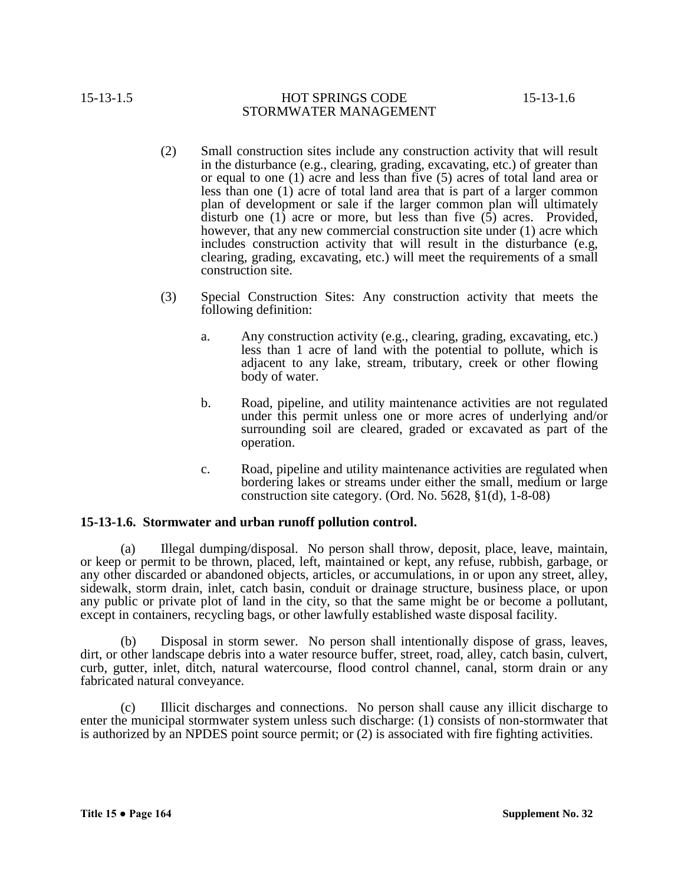- (2) Small construction sites include any construction activity that will result in the disturbance (e.g., clearing, grading, excavating, etc.) of greater than or equal to one (1) acre and less than five (5) acres of total land area or less than one (1) acre of total land area that is part of a larger common plan of development or sale if the larger common plan will ultimately disturb one (1) acre or more, but less than five  $(5)$  acres. Provided, however, that any new commercial construction site under (1) acre which includes construction activity that will result in the disturbance (e.g, clearing, grading, excavating, etc.) will meet the requirements of a small construction site.
- (3) Special Construction Sites: Any construction activity that meets the following definition:
	- a. Any construction activity (e.g., clearing, grading, excavating, etc.) less than 1 acre of land with the potential to pollute, which is adjacent to any lake, stream, tributary, creek or other flowing body of water.
	- b. Road, pipeline, and utility maintenance activities are not regulated under this permit unless one or more acres of underlying and/or surrounding soil are cleared, graded or excavated as part of the operation.
	- c. Road, pipeline and utility maintenance activities are regulated when bordering lakes or streams under either the small, medium or large construction site category. (Ord. No. 5628, §1(d), 1-8-08)

# **15-13-1.6. Stormwater and urban runoff pollution control.**

(a) Illegal dumping/disposal.No person shall throw, deposit, place, leave, maintain, or keep or permit to be thrown, placed, left, maintained or kept, any refuse, rubbish, garbage, or any other discarded or abandoned objects, articles, or accumulations, in or upon any street, alley, sidewalk, storm drain, inlet, catch basin, conduit or drainage structure, business place, or upon any public or private plot of land in the city, so that the same might be or become a pollutant, except in containers, recycling bags, or other lawfully established waste disposal facility.

(b) Disposal in storm sewer. No person shall intentionally dispose of grass, leaves, dirt, or other landscape debris into a water resource buffer, street, road, alley, catch basin, culvert, curb, gutter, inlet, ditch, natural watercourse, flood control channel, canal, storm drain or any fabricated natural conveyance.

(c) Illicit discharges and connections. No person shall cause any illicit discharge to enter the municipal stormwater system unless such discharge: (1) consists of non-stormwater that is authorized by an NPDES point source permit; or (2) is associated with fire fighting activities.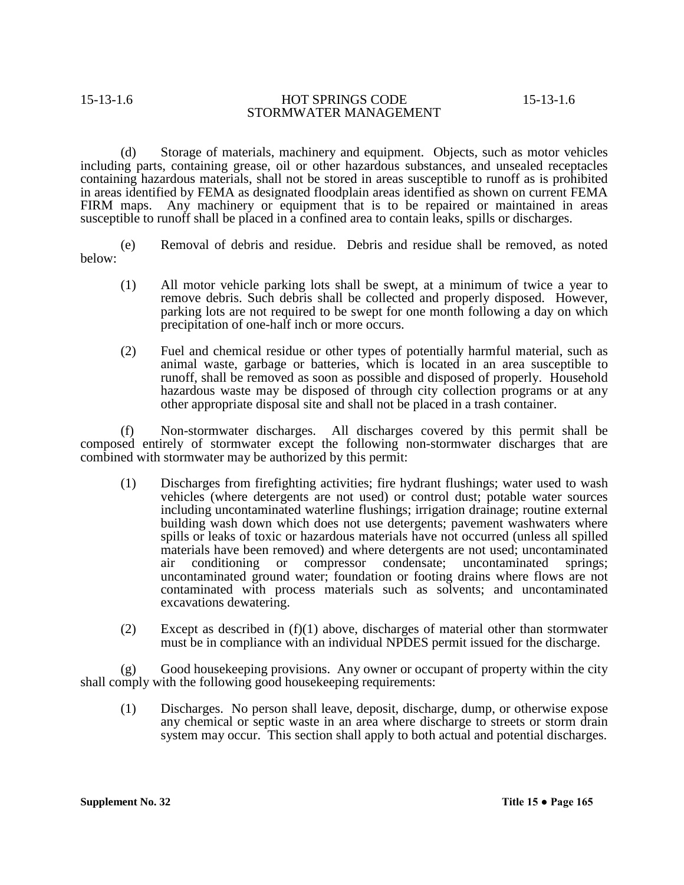(d) Storage of materials, machinery and equipment. Objects, such as motor vehicles including parts, containing grease, oil or other hazardous substances, and unsealed receptacles containing hazardous materials, shall not be stored in areas susceptible to runoff as is prohibited in areas identified by FEMA as designated floodplain areas identified as shown on current FEMA FIRM maps. Any machinery or equipment that is to be repaired or maintained in areas susceptible to runoff shall be placed in a confined area to contain leaks, spills or discharges.

(e) Removal of debris and residue.Debris and residue shall be removed, as noted below:

- (1) All motor vehicle parking lots shall be swept, at a minimum of twice a year to remove debris. Such debris shall be collected and properly disposed. However, parking lots are not required to be swept for one month following a day on which precipitation of one-half inch or more occurs.
- (2) Fuel and chemical residue or other types of potentially harmful material, such as animal waste, garbage or batteries, which is located in an area susceptible to runoff, shall be removed as soon as possible and disposed of properly. Household hazardous waste may be disposed of through city collection programs or at any other appropriate disposal site and shall not be placed in a trash container.

(f) Non-stormwater discharges. All discharges covered by this permit shall be composed entirely of stormwater except the following non-stormwater discharges that are combined with stormwater may be authorized by this permit:

- (1) Discharges from firefighting activities; fire hydrant flushings; water used to wash vehicles (where detergents are not used) or control dust; potable water sources including uncontaminated waterline flushings; irrigation drainage; routine external building wash down which does not use detergents; pavement washwaters where spills or leaks of toxic or hazardous materials have not occurred (unless all spilled materials have been removed) and where detergents are not used; uncontaminated air conditioning or compressor condensate; uncontaminated springs; uncontaminated ground water; foundation or footing drains where flows are not contaminated with process materials such as solvents; and uncontaminated excavations dewatering.
- (2) Except as described in  $(f)(1)$  above, discharges of material other than stormwater must be in compliance with an individual NPDES permit issued for the discharge.

(g) Good housekeeping provisions. Any owner or occupant of property within the city shall comply with the following good housekeeping requirements:

(1) Discharges. No person shall leave, deposit, discharge, dump, or otherwise expose any chemical or septic waste in an area where discharge to streets or storm drain system may occur. This section shall apply to both actual and potential discharges.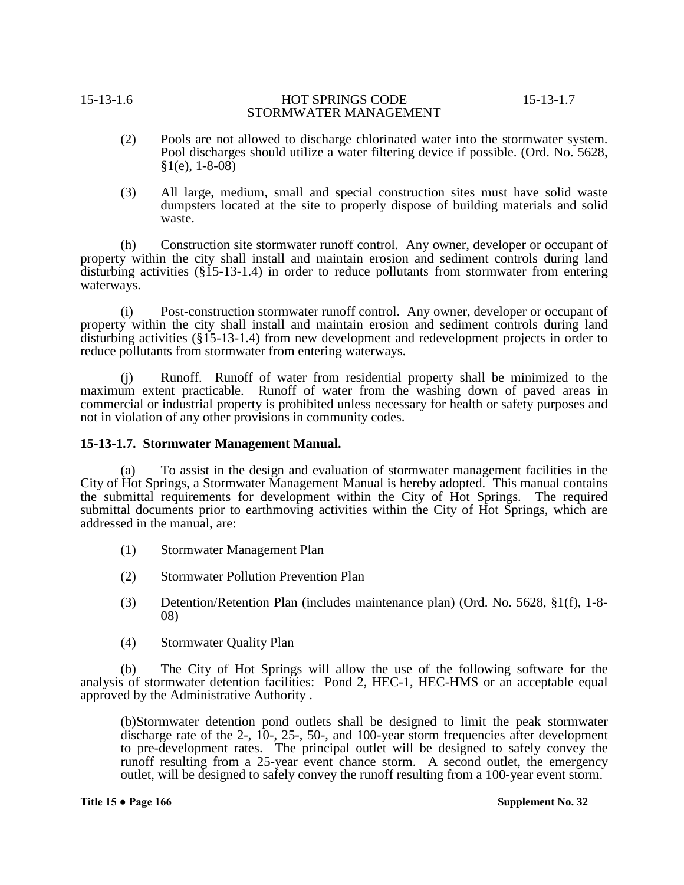- (2) Pools are not allowed to discharge chlorinated water into the stormwater system. Pool discharges should utilize a water filtering device if possible. (Ord. No. 5628,  $§1(e), 1-8-08)$
- (3) All large, medium, small and special construction sites must have solid waste dumpsters located at the site to properly dispose of building materials and solid waste.

(h) Construction site stormwater runoff control. Any owner, developer or occupant of property within the city shall install and maintain erosion and sediment controls during land disturbing activities (§15-13-1.4) in order to reduce pollutants from stormwater from entering waterways.

(i) Post-construction stormwater runoff control. Any owner, developer or occupant of property within the city shall install and maintain erosion and sediment controls during land disturbing activities (§15-13-1.4) from new development and redevelopment projects in order to reduce pollutants from stormwater from entering waterways.

(j) Runoff. Runoff of water from residential property shall be minimized to the maximum extent practicable. Runoff of water from the washing down of paved areas in commercial or industrial property is prohibited unless necessary for health or safety purposes and not in violation of any other provisions in community codes.

### **15-13-1.7. Stormwater Management Manual.**

(a) To assist in the design and evaluation of stormwater management facilities in the City of Hot Springs, a Stormwater Management Manual is hereby adopted. This manual contains the submittal requirements for development within the City of Hot Springs. The required submittal documents prior to earthmoving activities within the City of Hot Springs, which are addressed in the manual, are:

- (1) Stormwater Management Plan
- (2) Stormwater Pollution Prevention Plan
- (3) Detention/Retention Plan (includes maintenance plan) (Ord. No. 5628, §1(f), 1-8- 08)
- (4) Stormwater Quality Plan

(b) The City of Hot Springs will allow the use of the following software for the analysis of stormwater detention facilities: Pond 2, HEC-1, HEC-HMS or an acceptable equal approved by the Administrative Authority .

(b)Stormwater detention pond outlets shall be designed to limit the peak stormwater discharge rate of the 2-, 10-, 25-, 50-, and 100-year storm frequencies after development to pre-development rates. The principal outlet will be designed to safely convey the runoff resulting from a 25-year event chance storm. A second outlet, the emergency outlet, will be designed to safely convey the runoff resulting from a 100-year event storm.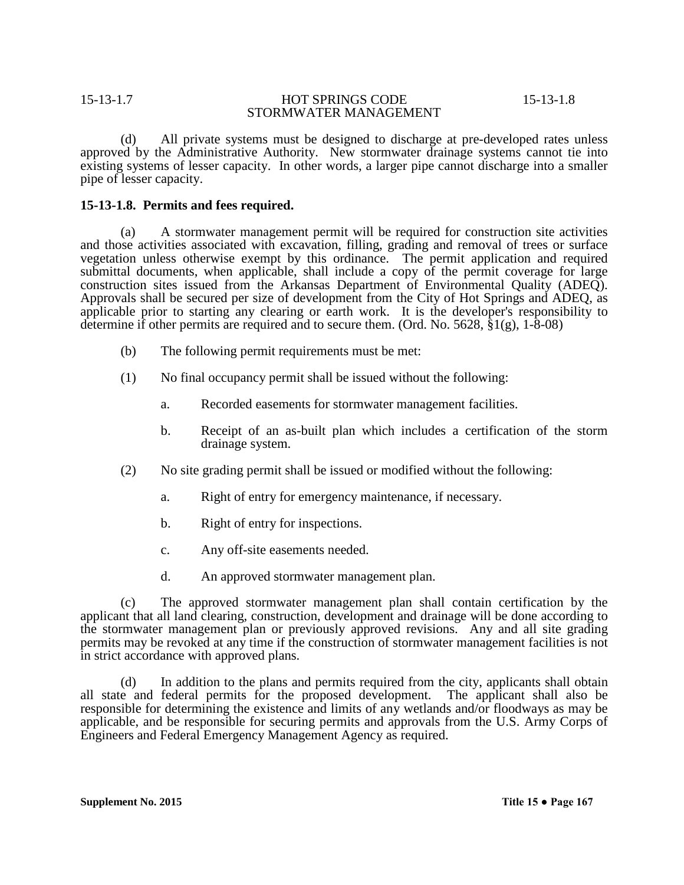(d) All private systems must be designed to discharge at pre-developed rates unless approved by the Administrative Authority. New stormwater drainage systems cannot tie into existing systems of lesser capacity. In other words, a larger pipe cannot discharge into a smaller pipe of lesser capacity.

## **15-13-1.8. Permits and fees required.**

(a) A stormwater management permit will be required for construction site activities and those activities associated with excavation, filling, grading and removal of trees or surface vegetation unless otherwise exempt by this ordinance. The permit application and required submittal documents, when applicable, shall include a copy of the permit coverage for large construction sites issued from the Arkansas Department of Environmental Quality (ADEQ). Approvals shall be secured per size of development from the City of Hot Springs and ADEQ, as applicable prior to starting any clearing or earth work. It is the developer's responsibility to determine if other permits are required and to secure them. (Ord. No. 5628, §1(g), 1-8-08)

- (b) The following permit requirements must be met:
- (1) No final occupancy permit shall be issued without the following:
	- a. Recorded easements for stormwater management facilities.
	- b. Receipt of an as-built plan which includes a certification of the storm drainage system.
- (2) No site grading permit shall be issued or modified without the following:
	- a. Right of entry for emergency maintenance, if necessary.
	- b. Right of entry for inspections.
	- c. Any off-site easements needed.
	- d. An approved stormwater management plan.

(c) The approved stormwater management plan shall contain certification by the applicant that all land clearing, construction, development and drainage will be done according to the stormwater management plan or previously approved revisions. Any and all site grading permits may be revoked at any time if the construction of stormwater management facilities is not in strict accordance with approved plans.

(d) In addition to the plans and permits required from the city, applicants shall obtain all state and federal permits for the proposed development. The applicant shall also be responsible for determining the existence and limits of any wetlands and/or floodways as may be applicable, and be responsible for securing permits and approvals from the U.S. Army Corps of Engineers and Federal Emergency Management Agency as required.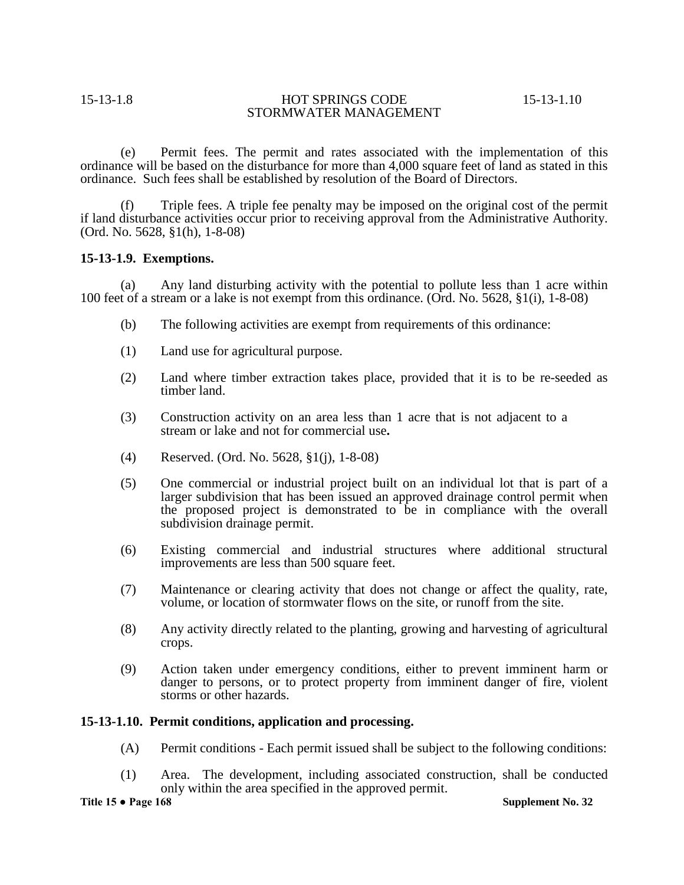(e) Permit fees. The permit and rates associated with the implementation of this ordinance will be based on the disturbance for more than 4,000 square feet of land as stated in this ordinance. Such fees shall be established by resolution of the Board of Directors.

(f) Triple fees. A triple fee penalty may be imposed on the original cost of the permit if land disturbance activities occur prior to receiving approval from the Administrative Authority. (Ord. No. 5628, §1(h), 1-8-08)

### **15-13-1.9. Exemptions.**

(a) Any land disturbing activity with the potential to pollute less than 1 acre within 100 feet of a stream or a lake is not exempt from this ordinance. (Ord. No. 5628, §1(i), 1-8-08)

- (b) The following activities are exempt from requirements of this ordinance:
- (1) Land use for agricultural purpose.
- (2) Land where timber extraction takes place, provided that it is to be re-seeded as timber land.
- (3) Construction activity on an area less than 1 acre that is not adjacent to a stream or lake and not for commercial use**.**
- (4) Reserved. (Ord. No. 5628, §1(j), 1-8-08)
- (5) One commercial or industrial project built on an individual lot that is part of a larger subdivision that has been issued an approved drainage control permit when the proposed project is demonstrated to be in compliance with the overall subdivision drainage permit.
- (6) Existing commercial and industrial structures where additional structural improvements are less than 500 square feet.
- (7) Maintenance or clearing activity that does not change or affect the quality, rate, volume, or location of stormwater flows on the site, or runoff from the site.
- (8) Any activity directly related to the planting, growing and harvesting of agricultural crops.
- (9) Action taken under emergency conditions, either to prevent imminent harm or danger to persons, or to protect property from imminent danger of fire, violent storms or other hazards.

### **15-13-1.10. Permit conditions, application and processing.**

- (A) Permit conditions Each permit issued shall be subject to the following conditions:
- (1) Area. The development, including associated construction, shall be conducted only within the area specified in the approved permit.

**Title 15 ● Page 168 Supplement No. 32**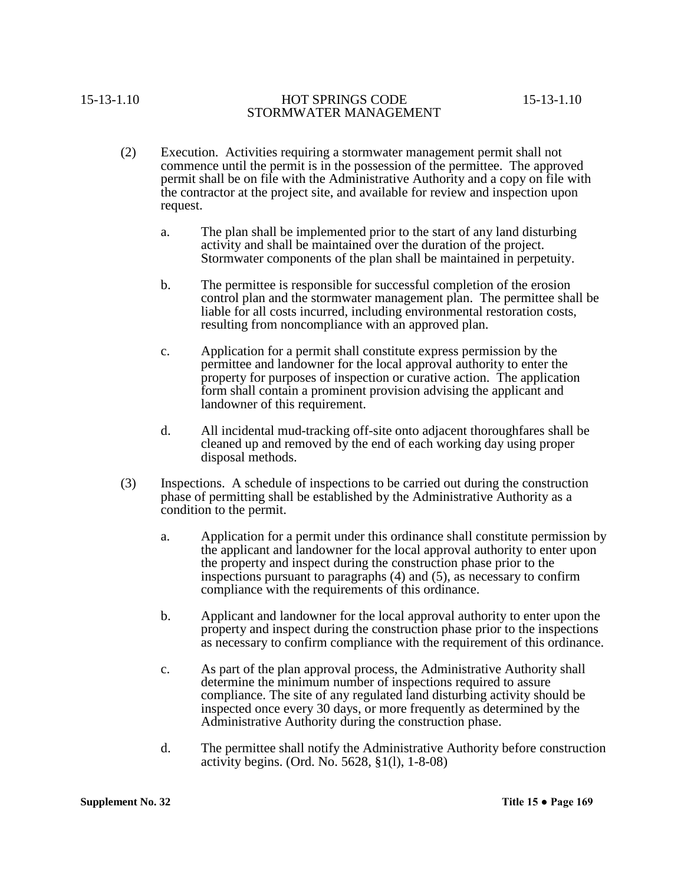- (2) Execution. Activities requiring a stormwater management permit shall not commence until the permit is in the possession of the permittee. The approved permit shall be on file with the Administrative Authority and a copy on file with the contractor at the project site, and available for review and inspection upon request.
	- a. The plan shall be implemented prior to the start of any land disturbing activity and shall be maintained over the duration of the project. Stormwater components of the plan shall be maintained in perpetuity.
	- b. The permittee is responsible for successful completion of the erosion control plan and the stormwater management plan. The permittee shall be liable for all costs incurred, including environmental restoration costs, resulting from noncompliance with an approved plan.
	- c. Application for a permit shall constitute express permission by the permittee and landowner for the local approval authority to enter the property for purposes of inspection or curative action. The application form shall contain a prominent provision advising the applicant and landowner of this requirement.
	- d. All incidental mud-tracking off-site onto adjacent thoroughfares shall be cleaned up and removed by the end of each working day using proper disposal methods.
- (3) Inspections. A schedule of inspections to be carried out during the construction phase of permitting shall be established by the Administrative Authority as a condition to the permit.
	- a. Application for a permit under this ordinance shall constitute permission by the applicant and landowner for the local approval authority to enter upon the property and inspect during the construction phase prior to the inspections pursuant to paragraphs (4) and (5), as necessary to confirm compliance with the requirements of this ordinance.
	- b. Applicant and landowner for the local approval authority to enter upon the property and inspect during the construction phase prior to the inspections as necessary to confirm compliance with the requirement of this ordinance.
	- c. As part of the plan approval process, the Administrative Authority shall determine the minimum number of inspections required to assure compliance. The site of any regulated land disturbing activity should be inspected once every 30 days, or more frequently as determined by the Administrative Authority during the construction phase.
	- d. The permittee shall notify the Administrative Authority before construction activity begins. (Ord. No. 5628, §1(l), 1-8-08)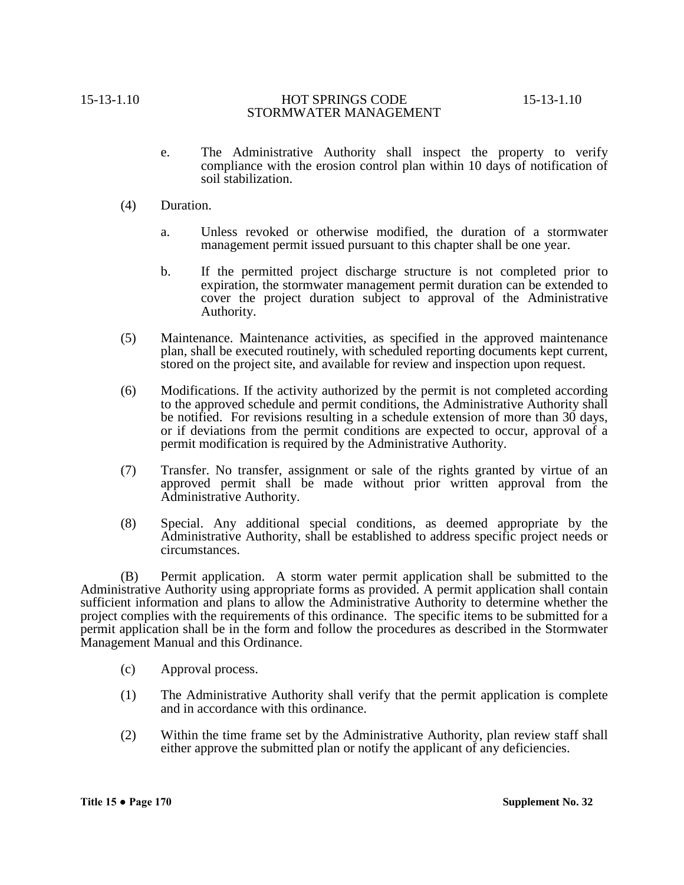- e. The Administrative Authority shall inspect the property to verify compliance with the erosion control plan within 10 days of notification of soil stabilization.
- (4) Duration.
	- a. Unless revoked or otherwise modified, the duration of a stormwater management permit issued pursuant to this chapter shall be one year.
	- b. If the permitted project discharge structure is not completed prior to expiration, the stormwater management permit duration can be extended to cover the project duration subject to approval of the Administrative Authority.
- (5) Maintenance. Maintenance activities, as specified in the approved maintenance plan, shall be executed routinely, with scheduled reporting documents kept current, stored on the project site, and available for review and inspection upon request.
- (6) Modifications. If the activity authorized by the permit is not completed according to the approved schedule and permit conditions, the Administrative Authority shall be notified. For revisions resulting in a schedule extension of more than 30 days, or if deviations from the permit conditions are expected to occur, approval of a permit modification is required by the Administrative Authority.
- (7) Transfer. No transfer, assignment or sale of the rights granted by virtue of an approved permit shall be made without prior written approval from the Administrative Authority.
- (8) Special. Any additional special conditions, as deemed appropriate by the Administrative Authority, shall be established to address specific project needs or circumstances.

(B) Permit application. A storm water permit application shall be submitted to the Administrative Authority using appropriate forms as provided. A permit application shall contain sufficient information and plans to allow the Administrative Authority to determine whether the project complies with the requirements of this ordinance. The specific items to be submitted for a permit application shall be in the form and follow the procedures as described in the Stormwater Management Manual and this Ordinance.

- (c) Approval process.
- (1) The Administrative Authority shall verify that the permit application is complete and in accordance with this ordinance.
- (2) Within the time frame set by the Administrative Authority, plan review staff shall either approve the submitted plan or notify the applicant of any deficiencies.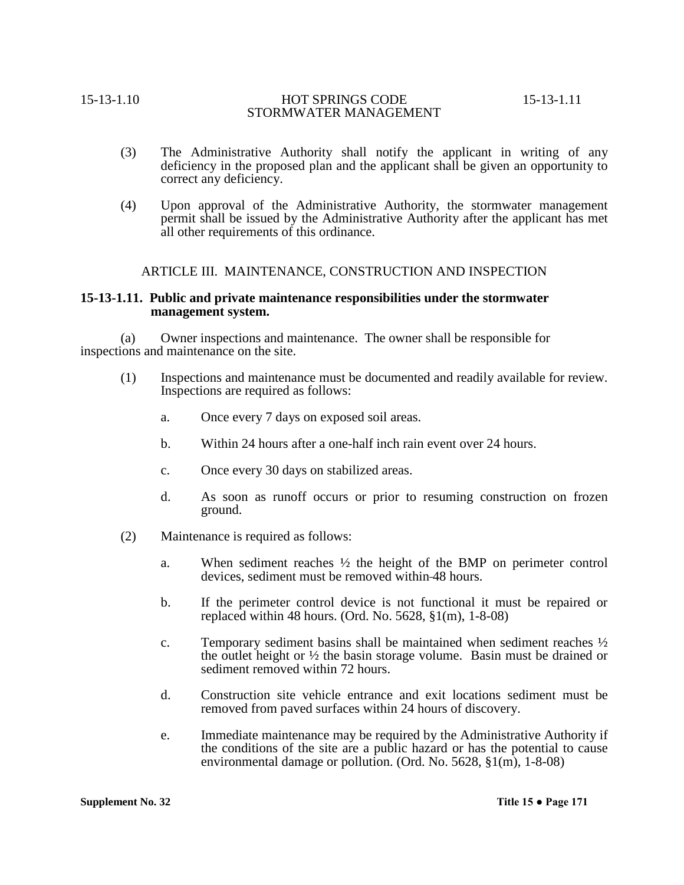- (3) The Administrative Authority shall notify the applicant in writing of any deficiency in the proposed plan and the applicant shall be given an opportunity to correct any deficiency.
- (4) Upon approval of the Administrative Authority, the stormwater management permit shall be issued by the Administrative Authority after the applicant has met all other requirements of this ordinance.

### ARTICLE III. MAINTENANCE, CONSTRUCTION AND INSPECTION

### **15-13-1.11. Public and private maintenance responsibilities under the stormwater management system.**

(a) Owner inspections and maintenance. The owner shall be responsible for inspections and maintenance on the site.

- (1) Inspections and maintenance must be documented and readily available for review. Inspections are required as follows:
	- a. Once every 7 days on exposed soil areas.
	- b. Within 24 hours after a one-half inch rain event over 24 hours.
	- c. Once every 30 days on stabilized areas.
	- d. As soon as runoff occurs or prior to resuming construction on frozen ground.
- (2) Maintenance is required as follows:
	- a. When sediment reaches  $\frac{1}{2}$  the height of the BMP on perimeter control devices, sediment must be removed within 48 hours.
	- b. If the perimeter control device is not functional it must be repaired or replaced within 48 hours. (Ord. No. 5628, §1(m), 1-8-08)
	- c. Temporary sediment basins shall be maintained when sediment reaches  $\frac{1}{2}$ the outlet height or  $\frac{1}{2}$  the basin storage volume. Basin must be drained or sediment removed within 72 hours.
	- d. Construction site vehicle entrance and exit locations sediment must be removed from paved surfaces within 24 hours of discovery.
	- e. Immediate maintenance may be required by the Administrative Authority if the conditions of the site are a public hazard or has the potential to cause environmental damage or pollution. (Ord. No. 5628, §1(m), 1-8-08)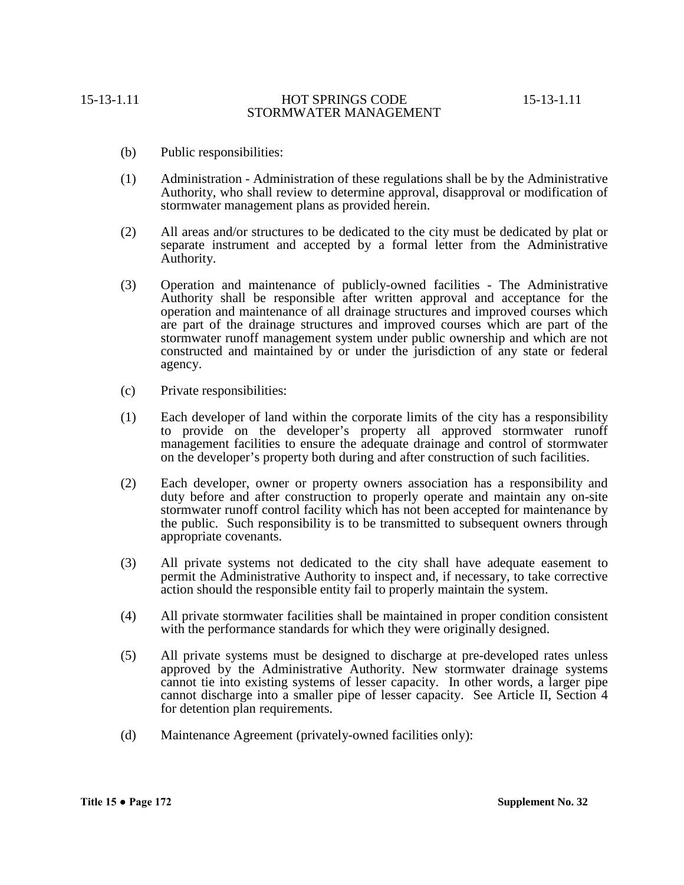- (b) Public responsibilities:
- (1) Administration Administration of these regulations shall be by the Administrative Authority, who shall review to determine approval, disapproval or modification of stormwater management plans as provided herein.
- (2) All areas and/or structures to be dedicated to the city must be dedicated by plat or separate instrument and accepted by a formal letter from the Administrative Authority.
- (3) Operation and maintenance of publicly-owned facilities The Administrative Authority shall be responsible after written approval and acceptance for the operation and maintenance of all drainage structures and improved courses which are part of the drainage structures and improved courses which are part of the stormwater runoff management system under public ownership and which are not constructed and maintained by or under the jurisdiction of any state or federal agency.
- (c) Private responsibilities:
- (1) Each developer of land within the corporate limits of the city has a responsibility to provide on the developer's property all approved stormwater runoff management facilities to ensure the adequate drainage and control of stormwater on the developer's property both during and after construction of such facilities.
- (2) Each developer, owner or property owners association has a responsibility and duty before and after construction to properly operate and maintain any on-site stormwater runoff control facility which has not been accepted for maintenance by the public. Such responsibility is to be transmitted to subsequent owners through appropriate covenants.
- (3) All private systems not dedicated to the city shall have adequate easement to permit the Administrative Authority to inspect and, if necessary, to take corrective action should the responsible entity fail to properly maintain the system.
- (4) All private stormwater facilities shall be maintained in proper condition consistent with the performance standards for which they were originally designed.
- (5) All private systems must be designed to discharge at pre-developed rates unless approved by the Administrative Authority. New stormwater drainage systems cannot tie into existing systems of lesser capacity. In other words, a larger pipe cannot discharge into a smaller pipe of lesser capacity. See Article II, Section 4 for detention plan requirements.
- (d) Maintenance Agreement (privately-owned facilities only):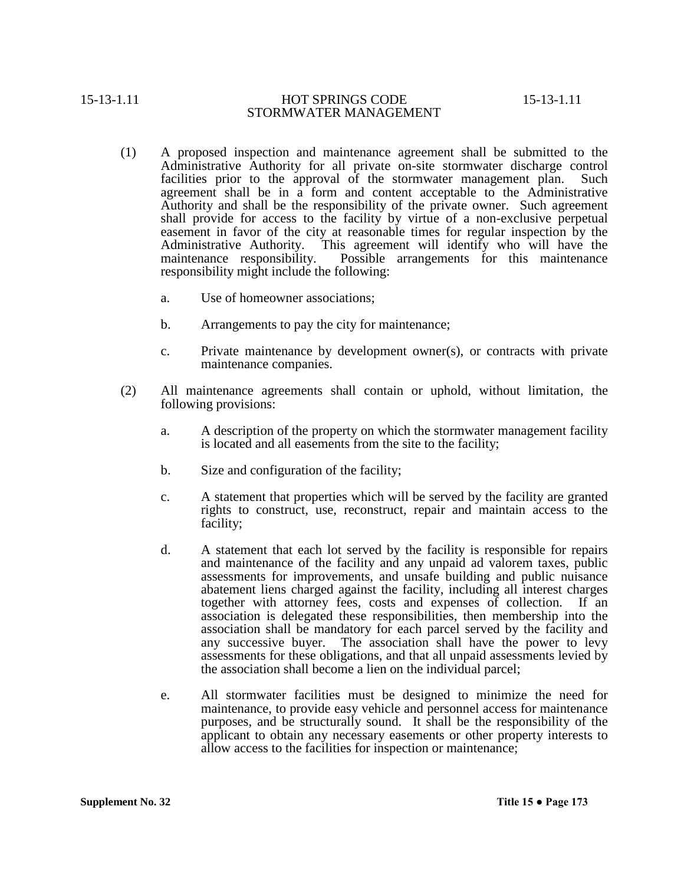- (1) A proposed inspection and maintenance agreement shall be submitted to the Administrative Authority for all private on-site stormwater discharge control facilities prior to the approval of the stormwater management plan. Such agreement shall be in a form and content acceptable to the Administrative Authority and shall be the responsibility of the private owner. Such agreement shall provide for access to the facility by virtue of a non-exclusive perpetual easement in favor of the city at reasonable times for regular inspection by the Administrative Authority. This agreement will identify who will have the maintenance responsibility. Possible arrangements for this maintenance responsibility might include the following:
	- a. Use of homeowner associations;
	- b. Arrangements to pay the city for maintenance;
	- c. Private maintenance by development owner(s), or contracts with private maintenance companies.
- (2) All maintenance agreements shall contain or uphold, without limitation, the following provisions:
	- a. A description of the property on which the stormwater management facility is located and all easements from the site to the facility;
	- b. Size and configuration of the facility;
	- c. A statement that properties which will be served by the facility are granted rights to construct, use, reconstruct, repair and maintain access to the facility;
	- d. A statement that each lot served by the facility is responsible for repairs and maintenance of the facility and any unpaid ad valorem taxes, public assessments for improvements, and unsafe building and public nuisance abatement liens charged against the facility, including all interest charges together with attorney fees, costs and expenses of collection. If an association is delegated these responsibilities, then membership into the association shall be mandatory for each parcel served by the facility and any successive buyer. The association shall have the power to levy assessments for these obligations, and that all unpaid assessments levied by the association shall become a lien on the individual parcel;
	- e. All stormwater facilities must be designed to minimize the need for maintenance, to provide easy vehicle and personnel access for maintenance purposes, and be structurally sound. It shall be the responsibility of the applicant to obtain any necessary easements or other property interests to allow access to the facilities for inspection or maintenance;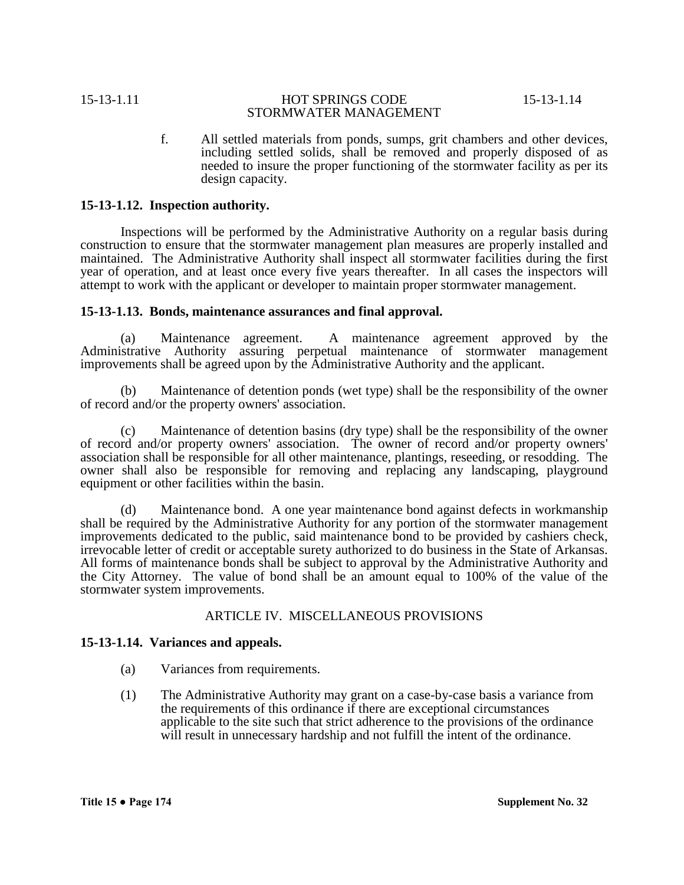f. All settled materials from ponds, sumps, grit chambers and other devices, including settled solids, shall be removed and properly disposed of as needed to insure the proper functioning of the stormwater facility as per its design capacity.

# **15-13-1.12. Inspection authority.**

Inspections will be performed by the Administrative Authority on a regular basis during construction to ensure that the stormwater management plan measures are properly installed and maintained. The Administrative Authority shall inspect all stormwater facilities during the first year of operation, and at least once every five years thereafter. In all cases the inspectors will attempt to work with the applicant or developer to maintain proper stormwater management.

### **15-13-1.13. Bonds, maintenance assurances and final approval.**

(a) Maintenance agreement.A maintenance agreement approved by the Administrative Authority assuring perpetual maintenance of stormwater management improvements shall be agreed upon by the Administrative Authority and the applicant.

(b) Maintenance of detention ponds (wet type) shall be the responsibility of the owner of record and/or the property owners' association.

(c) Maintenance of detention basins (dry type) shall be the responsibility of the owner of record and/or property owners' association. The owner of record and/or property owners' association shall be responsible for all other maintenance, plantings, reseeding, or resodding. The owner shall also be responsible for removing and replacing any landscaping, playground equipment or other facilities within the basin.

(d) Maintenance bond. A one year maintenance bond against defects in workmanship shall be required by the Administrative Authority for any portion of the stormwater management improvements dedicated to the public, said maintenance bond to be provided by cashiers check, irrevocable letter of credit or acceptable surety authorized to do business in the State of Arkansas. All forms of maintenance bonds shall be subject to approval by the Administrative Authority and the City Attorney. The value of bond shall be an amount equal to 100% of the value of the stormwater system improvements.

# ARTICLE IV. MISCELLANEOUS PROVISIONS

### **15-13-1.14. Variances and appeals.**

- (a) Variances from requirements.
- (1) The Administrative Authority may grant on a case-by-case basis a variance from the requirements of this ordinance if there are exceptional circumstances applicable to the site such that strict adherence to the provisions of the ordinance will result in unnecessary hardship and not fulfill the intent of the ordinance.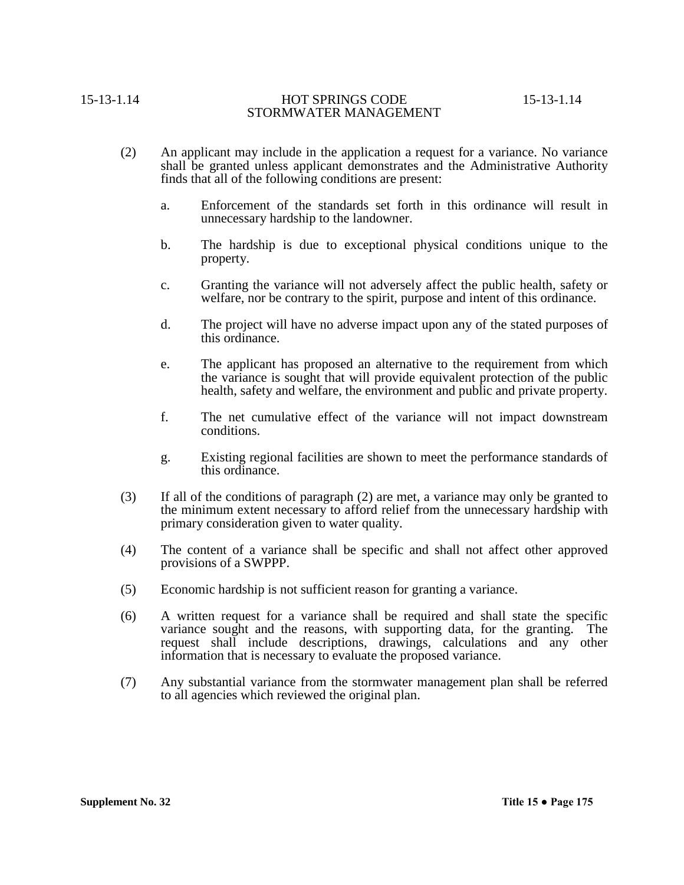- (2) An applicant may include in the application a request for a variance. No variance shall be granted unless applicant demonstrates and the Administrative Authority finds that all of the following conditions are present:
	- a. Enforcement of the standards set forth in this ordinance will result in unnecessary hardship to the landowner.
	- b. The hardship is due to exceptional physical conditions unique to the property.
	- c. Granting the variance will not adversely affect the public health, safety or welfare, nor be contrary to the spirit, purpose and intent of this ordinance.
	- d. The project will have no adverse impact upon any of the stated purposes of this ordinance.
	- e. The applicant has proposed an alternative to the requirement from which the variance is sought that will provide equivalent protection of the public health, safety and welfare, the environment and public and private property.
	- f. The net cumulative effect of the variance will not impact downstream conditions.
	- g. Existing regional facilities are shown to meet the performance standards of this ordinance.
- (3) If all of the conditions of paragraph (2) are met, a variance may only be granted to the minimum extent necessary to afford relief from the unnecessary hardship with primary consideration given to water quality.
- (4) The content of a variance shall be specific and shall not affect other approved provisions of a SWPPP.
- (5) Economic hardship is not sufficient reason for granting a variance.
- (6) A written request for a variance shall be required and shall state the specific variance sought and the reasons, with supporting data, for the granting. The request shall include descriptions, drawings, calculations and any other information that is necessary to evaluate the proposed variance.
- (7) Any substantial variance from the stormwater management plan shall be referred to all agencies which reviewed the original plan.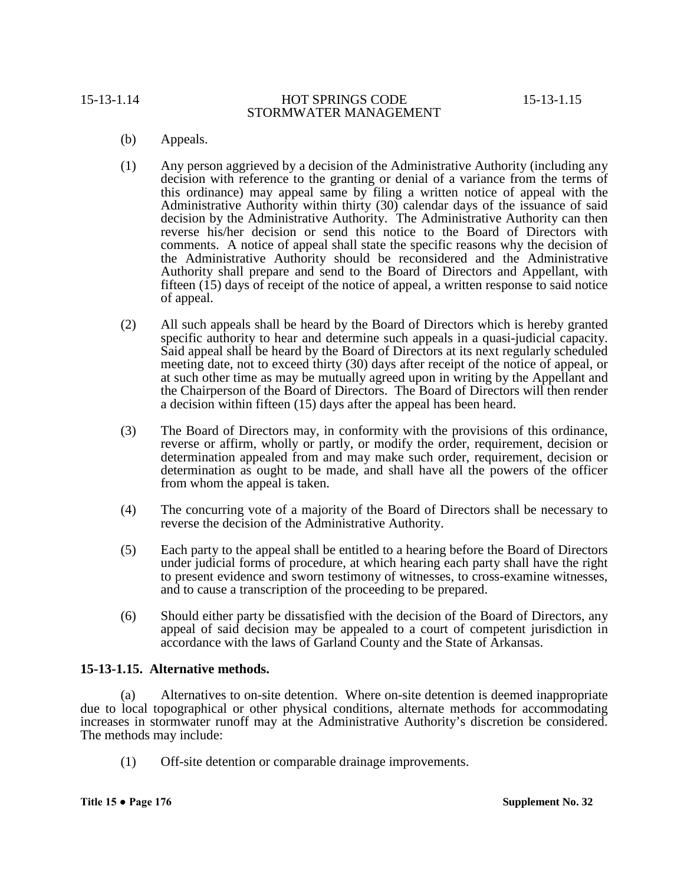- (b) Appeals.
- (1) Any person aggrieved by a decision of the Administrative Authority (including any decision with reference to the granting or denial of a variance from the terms of this ordinance) may appeal same by filing a written notice of appeal with the Administrative Authority within thirty (30) calendar days of the issuance of said decision by the Administrative Authority. The Administrative Authority can then reverse his/her decision or send this notice to the Board of Directors with comments. A notice of appeal shall state the specific reasons why the decision of the Administrative Authority should be reconsidered and the Administrative Authority shall prepare and send to the Board of Directors and Appellant, with fifteen (15) days of receipt of the notice of appeal, a written response to said notice of appeal.
- (2) All such appeals shall be heard by the Board of Directors which is hereby granted specific authority to hear and determine such appeals in a quasi-judicial capacity. Said appeal shall be heard by the Board of Directors at its next regularly scheduled meeting date, not to exceed thirty (30) days after receipt of the notice of appeal, or at such other time as may be mutually agreed upon in writing by the Appellant and the Chairperson of the Board of Directors. The Board of Directors will then render a decision within fifteen (15) days after the appeal has been heard.
- (3) The Board of Directors may, in conformity with the provisions of this ordinance, reverse or affirm, wholly or partly, or modify the order, requirement, decision or determination appealed from and may make such order, requirement, decision or determination as ought to be made, and shall have all the powers of the officer from whom the appeal is taken.
- (4) The concurring vote of a majority of the Board of Directors shall be necessary to reverse the decision of the Administrative Authority.
- (5) Each party to the appeal shall be entitled to a hearing before the Board of Directors under judicial forms of procedure, at which hearing each party shall have the right to present evidence and sworn testimony of witnesses, to cross-examine witnesses, and to cause a transcription of the proceeding to be prepared.
- (6) Should either party be dissatisfied with the decision of the Board of Directors, any appeal of said decision may be appealed to a court of competent jurisdiction in accordance with the laws of Garland County and the State of Arkansas.

# **15-13-1.15. Alternative methods.**

(a) Alternatives to on-site detention. Where on-site detention is deemed inappropriate due to local topographical or other physical conditions, alternate methods for accommodating increases in stormwater runoff may at the Administrative Authority's discretion be considered. The methods may include:

(1) Off-site detention or comparable drainage improvements.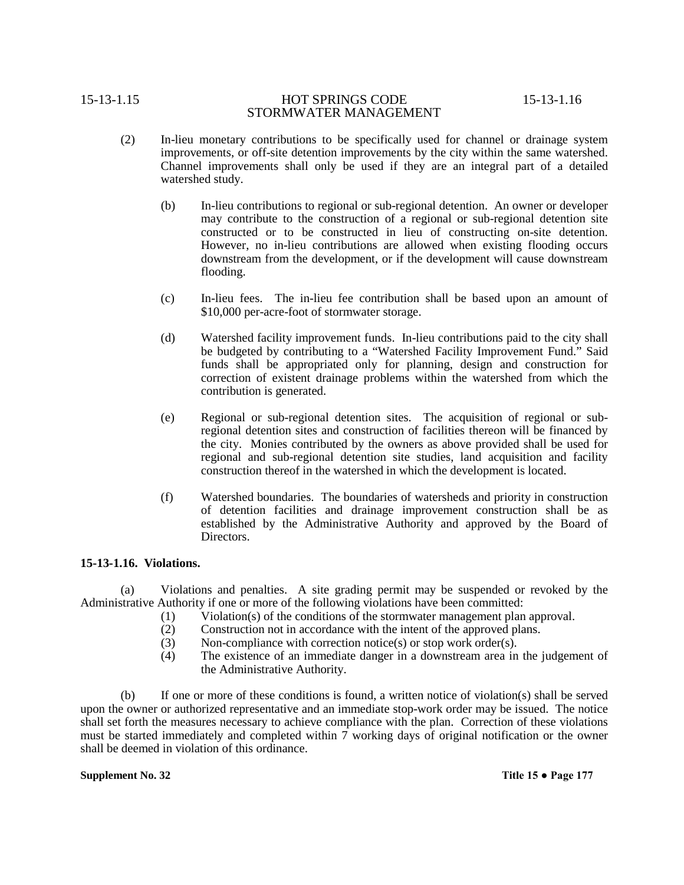- (2) In-lieu monetary contributions to be specifically used for channel or drainage system improvements, or off-site detention improvements by the city within the same watershed. Channel improvements shall only be used if they are an integral part of a detailed watershed study.
	- (b) In-lieu contributions to regional or sub-regional detention. An owner or developer may contribute to the construction of a regional or sub-regional detention site constructed or to be constructed in lieu of constructing on-site detention. However, no in-lieu contributions are allowed when existing flooding occurs downstream from the development, or if the development will cause downstream flooding.
	- (c) In-lieu fees. The in-lieu fee contribution shall be based upon an amount of \$10,000 per-acre-foot of stormwater storage.
	- (d) Watershed facility improvement funds. In-lieu contributions paid to the city shall be budgeted by contributing to a "Watershed Facility Improvement Fund." Said funds shall be appropriated only for planning, design and construction for correction of existent drainage problems within the watershed from which the contribution is generated.
	- (e) Regional or sub-regional detention sites. The acquisition of regional or subregional detention sites and construction of facilities thereon will be financed by the city. Monies contributed by the owners as above provided shall be used for regional and sub-regional detention site studies, land acquisition and facility construction thereof in the watershed in which the development is located.
	- (f) Watershed boundaries. The boundaries of watersheds and priority in construction of detention facilities and drainage improvement construction shall be as established by the Administrative Authority and approved by the Board of Directors.

### **15-13-1.16. Violations.**

(a) Violations and penalties. A site grading permit may be suspended or revoked by the Administrative Authority if one or more of the following violations have been committed:

- (1) Violation(s) of the conditions of the stormwater management plan approval.
- (2) Construction not in accordance with the intent of the approved plans.
- (3) Non-compliance with correction notice(s) or stop work order(s).
- (4) The existence of an immediate danger in a downstream area in the judgement of the Administrative Authority.

(b) If one or more of these conditions is found, a written notice of violation(s) shall be served upon the owner or authorized representative and an immediate stop-work order may be issued. The notice shall set forth the measures necessary to achieve compliance with the plan. Correction of these violations must be started immediately and completed within 7 working days of original notification or the owner shall be deemed in violation of this ordinance.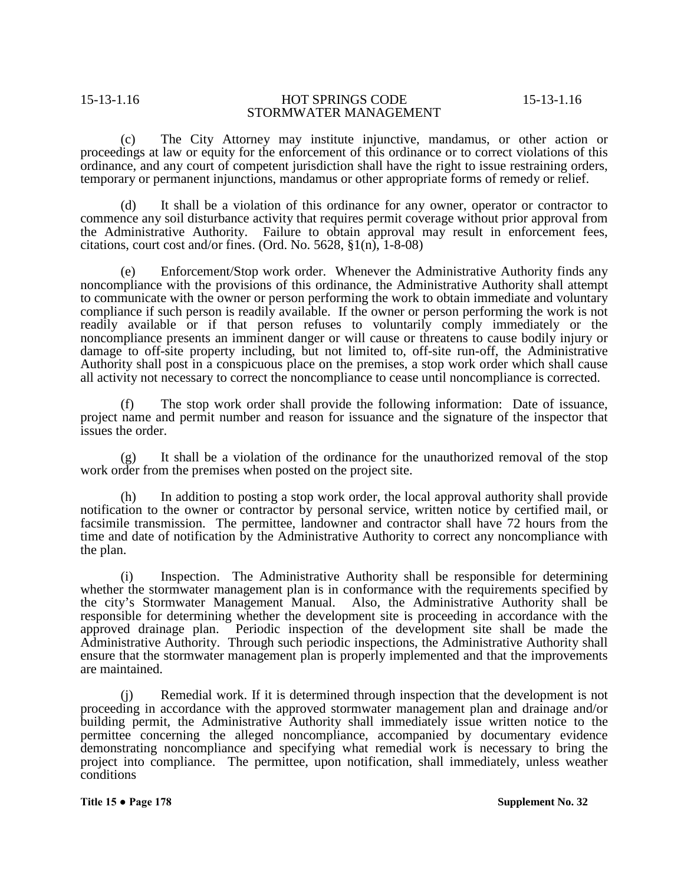(c) The City Attorney may institute injunctive, mandamus, or other action or proceedings at law or equity for the enforcement of this ordinance or to correct violations of this ordinance, and any court of competent jurisdiction shall have the right to issue restraining orders, temporary or permanent injunctions, mandamus or other appropriate forms of remedy or relief.

(d) It shall be a violation of this ordinance for any owner, operator or contractor to commence any soil disturbance activity that requires permit coverage without prior approval from the Administrative Authority. Failure to obtain approval may result in enforcement fees, citations, court cost and/or fines. (Ord. No. 5628, §1(n), 1-8-08)

(e) Enforcement/Stop work order. Whenever the Administrative Authority finds any noncompliance with the provisions of this ordinance, the Administrative Authority shall attempt to communicate with the owner or person performing the work to obtain immediate and voluntary compliance if such person is readily available. If the owner or person performing the work is not readily available or if that person refuses to voluntarily comply immediately or the noncompliance presents an imminent danger or will cause or threatens to cause bodily injury or damage to off-site property including, but not limited to, off-site run-off, the Administrative Authority shall post in a conspicuous place on the premises, a stop work order which shall cause all activity not necessary to correct the noncompliance to cease until noncompliance is corrected.

(f) The stop work order shall provide the following information: Date of issuance, project name and permit number and reason for issuance and the signature of the inspector that issues the order.

(g) It shall be a violation of the ordinance for the unauthorized removal of the stop work order from the premises when posted on the project site.

(h) In addition to posting a stop work order, the local approval authority shall provide notification to the owner or contractor by personal service, written notice by certified mail, or facsimile transmission. The permittee, landowner and contractor shall have 72 hours from the time and date of notification by the Administrative Authority to correct any noncompliance with the plan.

(i) Inspection. The Administrative Authority shall be responsible for determining whether the stormwater management plan is in conformance with the requirements specified by the city's Stormwater Management Manual. Also, the Administrative Authority shall be responsible for determining whether the development site is proceeding in accordance with the approved drainage plan. Periodic inspection of the development site shall be made the Administrative Authority. Through such periodic inspections, the Administrative Authority shall ensure that the stormwater management plan is properly implemented and that the improvements are maintained.

(j) Remedial work. If it is determined through inspection that the development is not proceeding in accordance with the approved stormwater management plan and drainage and/or building permit, the Administrative Authority shall immediately issue written notice to the permittee concerning the alleged noncompliance, accompanied by documentary evidence demonstrating noncompliance and specifying what remedial work is necessary to bring the project into compliance. The permittee, upon notification, shall immediately, unless weather conditions

**Title 15 ● Page 178 Supplement No. 32**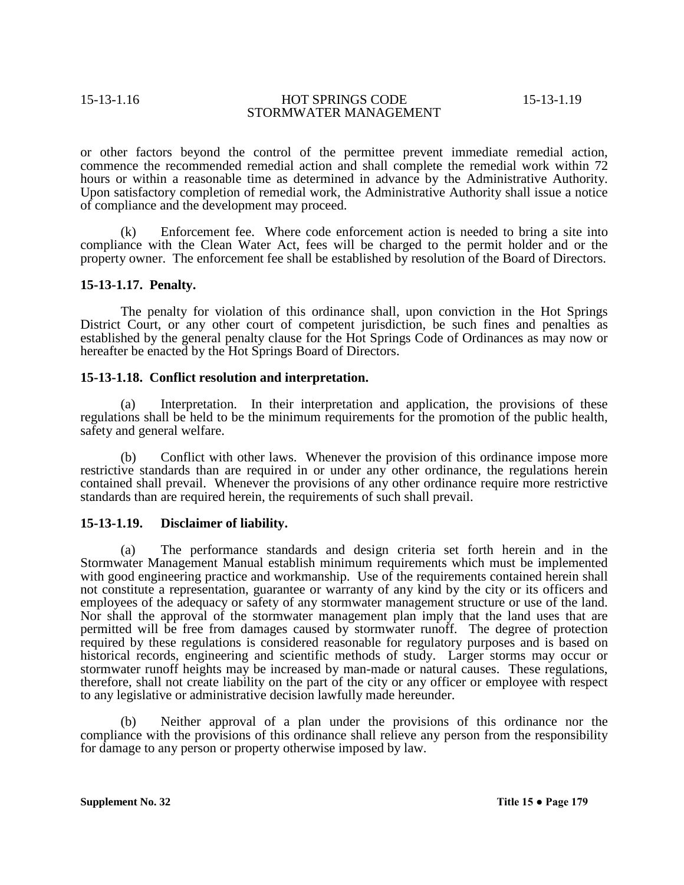or other factors beyond the control of the permittee prevent immediate remedial action, commence the recommended remedial action and shall complete the remedial work within 72 hours or within a reasonable time as determined in advance by the Administrative Authority. Upon satisfactory completion of remedial work, the Administrative Authority shall issue a notice of compliance and the development may proceed.

(k) Enforcement fee. Where code enforcement action is needed to bring a site into compliance with the Clean Water Act, fees will be charged to the permit holder and or the property owner. The enforcement fee shall be established by resolution of the Board of Directors.

### **15-13-1.17. Penalty.**

The penalty for violation of this ordinance shall, upon conviction in the Hot Springs District Court, or any other court of competent jurisdiction, be such fines and penalties as established by the general penalty clause for the Hot Springs Code of Ordinances as may now or hereafter be enacted by the Hot Springs Board of Directors.

### **15-13-1.18. Conflict resolution and interpretation.**

(a) Interpretation. In their interpretation and application, the provisions of these regulations shall be held to be the minimum requirements for the promotion of the public health, safety and general welfare.

(b) Conflict with other laws. Whenever the provision of this ordinance impose more restrictive standards than are required in or under any other ordinance, the regulations herein contained shall prevail. Whenever the provisions of any other ordinance require more restrictive standards than are required herein, the requirements of such shall prevail.

### **15-13-1.19. Disclaimer of liability.**

(a) The performance standards and design criteria set forth herein and in the Stormwater Management Manual establish minimum requirements which must be implemented with good engineering practice and workmanship. Use of the requirements contained herein shall not constitute a representation, guarantee or warranty of any kind by the city or its officers and employees of the adequacy or safety of any stormwater management structure or use of the land. Nor shall the approval of the stormwater management plan imply that the land uses that are permitted will be free from damages caused by stormwater runoff. The degree of protection required by these regulations is considered reasonable for regulatory purposes and is based on historical records, engineering and scientific methods of study. Larger storms may occur or stormwater runoff heights may be increased by man-made or natural causes. These regulations, therefore, shall not create liability on the part of the city or any officer or employee with respect to any legislative or administrative decision lawfully made hereunder.

(b) Neither approval of a plan under the provisions of this ordinance nor the compliance with the provisions of this ordinance shall relieve any person from the responsibility for damage to any person or property otherwise imposed by law.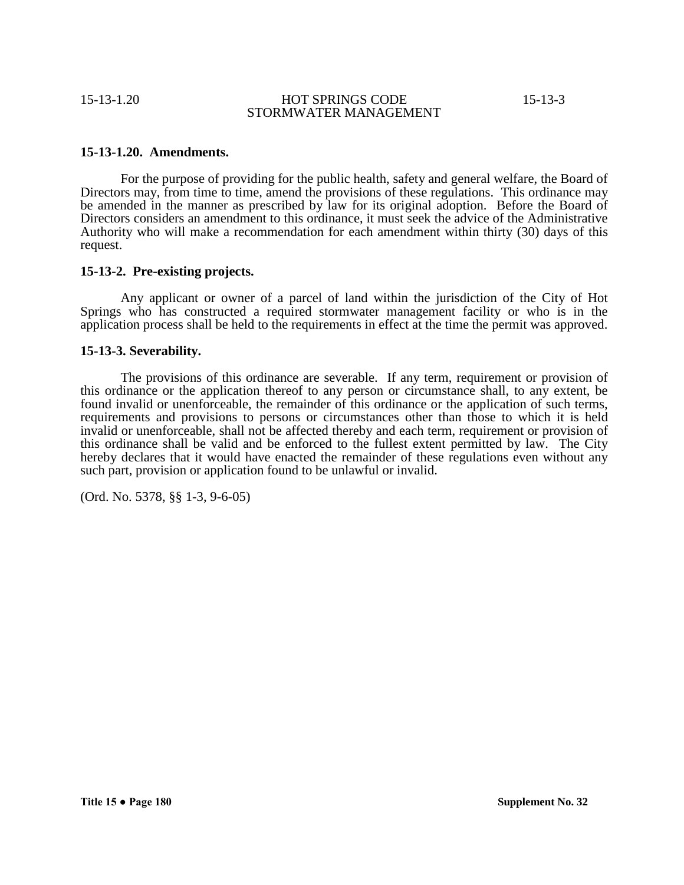### **15-13-1.20. Amendments.**

For the purpose of providing for the public health, safety and general welfare, the Board of Directors may, from time to time, amend the provisions of these regulations. This ordinance may be amended in the manner as prescribed by law for its original adoption. Before the Board of Directors considers an amendment to this ordinance, it must seek the advice of the Administrative Authority who will make a recommendation for each amendment within thirty (30) days of this request.

### **15-13-2. Pre-existing projects.**

Any applicant or owner of a parcel of land within the jurisdiction of the City of Hot Springs who has constructed a required stormwater management facility or who is in the application process shall be held to the requirements in effect at the time the permit was approved.

### **15-13-3. Severability.**

The provisions of this ordinance are severable. If any term, requirement or provision of this ordinance or the application thereof to any person or circumstance shall, to any extent, be found invalid or unenforceable, the remainder of this ordinance or the application of such terms, requirements and provisions to persons or circumstances other than those to which it is held invalid or unenforceable, shall not be affected thereby and each term, requirement or provision of this ordinance shall be valid and be enforced to the fullest extent permitted by law. The City hereby declares that it would have enacted the remainder of these regulations even without any such part, provision or application found to be unlawful or invalid.

(Ord. No. 5378, §§ 1-3, 9-6-05)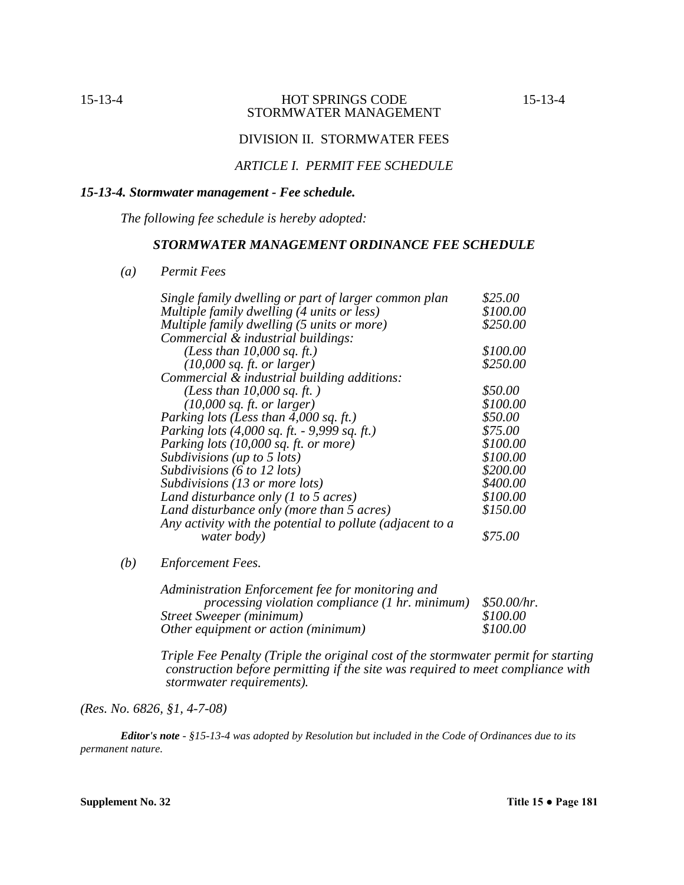# DIVISION II. STORMWATER FEES

# *ARTICLE I. PERMIT FEE SCHEDULE*

# *15-13-4. Stormwater management - Fee schedule.*

*The following fee schedule is hereby adopted:*

### *STORMWATER MANAGEMENT ORDINANCE FEE SCHEDULE*

*(a) Permit Fees*

| Single family dwelling or part of larger common plan           | \$25.00  |
|----------------------------------------------------------------|----------|
| Multiple family dwelling (4 units or less)                     | \$100.00 |
| Multiple family dwelling (5 units or more)                     | \$250.00 |
| Commercial & industrial buildings:                             |          |
| (Less than $10,000$ sq. ft.)                                   | \$100.00 |
| $(10,000 \text{ sq. ft. or larger})$                           | \$250.00 |
| Commercial & industrial building additions:                    |          |
| (Less than $10,000$ sq. ft.)                                   | \$50.00  |
| $(10,000$ sq. ft. or larger)                                   | \$100.00 |
| Parking lots (Less than $4,000$ sq. ft.)                       | \$50.00  |
| Parking lots $(4,000 \text{ sq. ft.} - 9,999 \text{ sq. ft.})$ | \$75.00  |
| Parking lots (10,000 sq. ft. or more)                          | \$100.00 |
| Subdivisions (up to 5 lots)                                    | \$100.00 |
| Subdivisions (6 to 12 lots)                                    | \$200.00 |
| Subdivisions (13 or more lots)                                 | \$400.00 |
| Land disturbance only $(1 to 5 acres)$                         | \$100.00 |
| Land disturbance only (more than 5 acres)                      | \$150.00 |
| Any activity with the potential to pollute (adjacent to a      |          |
| water body)                                                    | \$75.00  |

*(b) Enforcement Fees.*

| Administration Enforcement fee for monitoring and      |             |
|--------------------------------------------------------|-------------|
| <i>processing violation compliance (1 hr. minimum)</i> | \$50.00/hr. |
| Street Sweeper (minimum)                               | \$100.00    |
| Other equipment or action (minimum)                    | \$100.00    |

*Triple Fee Penalty (Triple the original cost of the stormwater permit for starting construction before permitting if the site was required to meet compliance with stormwater requirements).*

*(Res. No. 6826, §1, 4-7-08)*

*Editor's note - §15-13-4 was adopted by Resolution but included in the Code of Ordinances due to its permanent nature.*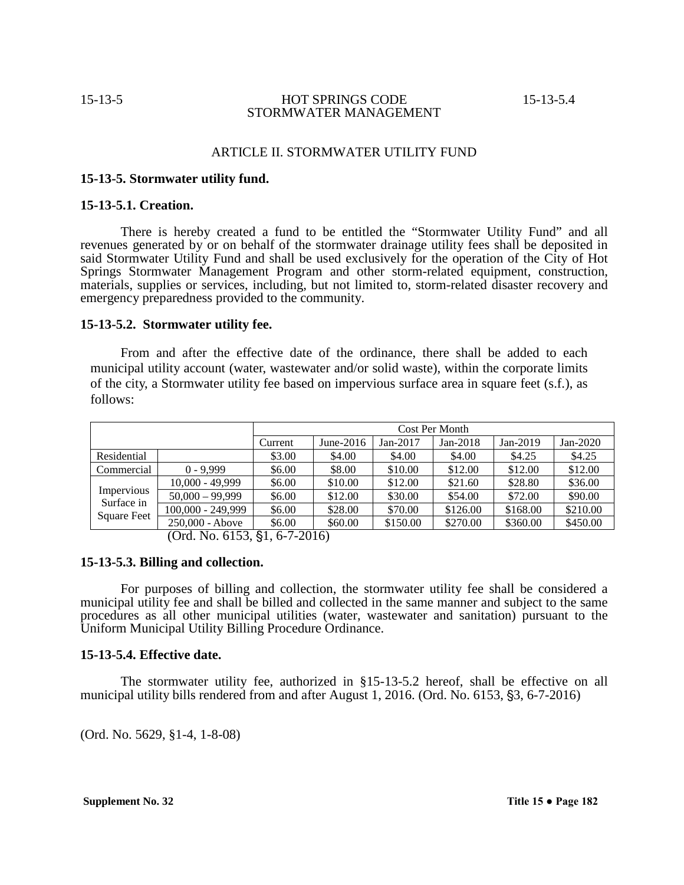### ARTICLE II. STORMWATER UTILITY FUND

### **15-13-5. Stormwater utility fund.**

### **15-13-5.1. Creation.**

There is hereby created a fund to be entitled the "Stormwater Utility Fund" and all revenues generated by or on behalf of the stormwater drainage utility fees shall be deposited in said Stormwater Utility Fund and shall be used exclusively for the operation of the City of Hot Springs Stormwater Management Program and other storm-related equipment, construction, materials, supplies or services, including, but not limited to, storm-related disaster recovery and emergency preparedness provided to the community.

### **15-13-5.2. Stormwater utility fee.**

From and after the effective date of the ordinance, there shall be added to each municipal utility account (water, wastewater and/or solid waste), within the corporate limits of the city, a Stormwater utility fee based on impervious surface area in square feet (s.f.), as follows:

|             |                   | Cost Per Month |              |          |            |            |          |  |
|-------------|-------------------|----------------|--------------|----------|------------|------------|----------|--|
|             |                   | Current        | June- $2016$ | Jan-2017 | $Jan-2018$ | $Jan-2019$ | Jan-2020 |  |
| Residential |                   | \$3.00         | \$4.00       | \$4.00   | \$4.00     | \$4.25     | \$4.25   |  |
| Commercial  | $0 - 9.999$       | \$6.00         | \$8.00       | \$10.00  | \$12.00    | \$12.00    | \$12.00  |  |
|             | $10,000 - 49,999$ | \$6.00         | \$10.00      | \$12.00  | \$21.60    | \$28.80    | \$36.00  |  |
| Impervious  | $50,000 - 99,999$ | \$6.00         | \$12.00      | \$30.00  | \$54.00    | \$72.00    | \$90.00  |  |
| Surface in  | 100,000 - 249,999 | \$6.00         | \$28.00      | \$70.00  | \$126.00   | \$168.00   | \$210.00 |  |
| Square Feet | 250,000 - Above   | \$6.00         | \$60.00      | \$150.00 | \$270.00   | \$360.00   | \$450.00 |  |

 $(Ord. No. 6153, §1, 6-7-2016)$ 

# **15-13-5.3. Billing and collection.**

For purposes of billing and collection, the stormwater utility fee shall be considered a municipal utility fee and shall be billed and collected in the same manner and subject to the same procedures as all other municipal utilities (water, wastewater and sanitation) pursuant to the Uniform Municipal Utility Billing Procedure Ordinance.

### **15-13-5.4. Effective date.**

The stormwater utility fee, authorized in §15-13-5.2 hereof, shall be effective on all municipal utility bills rendered from and after August 1, 2016. (Ord. No.  $6153$ ,  $\S3$ ,  $6-7-2016$ )

(Ord. No. 5629, §1-4, 1-8-08)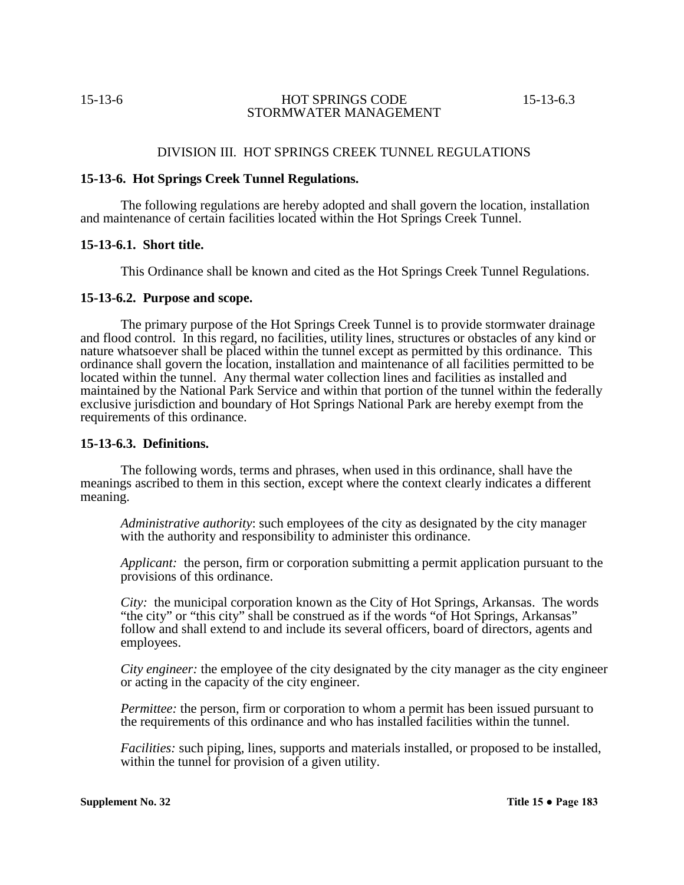### DIVISION III. HOT SPRINGS CREEK TUNNEL REGULATIONS

### **15-13-6. Hot Springs Creek Tunnel Regulations.**

The following regulations are hereby adopted and shall govern the location, installation and maintenance of certain facilities located within the Hot Springs Creek Tunnel.

### **15-13-6.1. Short title.**

This Ordinance shall be known and cited as the Hot Springs Creek Tunnel Regulations.

### **15-13-6.2. Purpose and scope.**

The primary purpose of the Hot Springs Creek Tunnel is to provide stormwater drainage and flood control. In this regard, no facilities, utility lines, structures or obstacles of any kind or nature whatsoever shall be placed within the tunnel except as permitted by this ordinance. This ordinance shall govern the location, installation and maintenance of all facilities permitted to be located within the tunnel. Any thermal water collection lines and facilities as installed and maintained by the National Park Service and within that portion of the tunnel within the federally exclusive jurisdiction and boundary of Hot Springs National Park are hereby exempt from the requirements of this ordinance.

## **15-13-6.3. Definitions.**

The following words, terms and phrases, when used in this ordinance, shall have the meanings ascribed to them in this section, except where the context clearly indicates a different meaning.

*Administrative authority*: such employees of the city as designated by the city manager with the authority and responsibility to administer this ordinance.

*Applicant:* the person, firm or corporation submitting a permit application pursuant to the provisions of this ordinance.

*City:* the municipal corporation known as the City of Hot Springs, Arkansas. The words "the city" or "this city" shall be construed as if the words "of Hot Springs, Arkansas" follow and shall extend to and include its several officers, board of directors, agents and employees.

*City engineer:* the employee of the city designated by the city manager as the city engineer or acting in the capacity of the city engineer.

*Permittee:* the person, firm or corporation to whom a permit has been issued pursuant to the requirements of this ordinance and who has installed facilities within the tunnel.

*Facilities:* such piping, lines, supports and materials installed, or proposed to be installed, within the tunnel for provision of a given utility.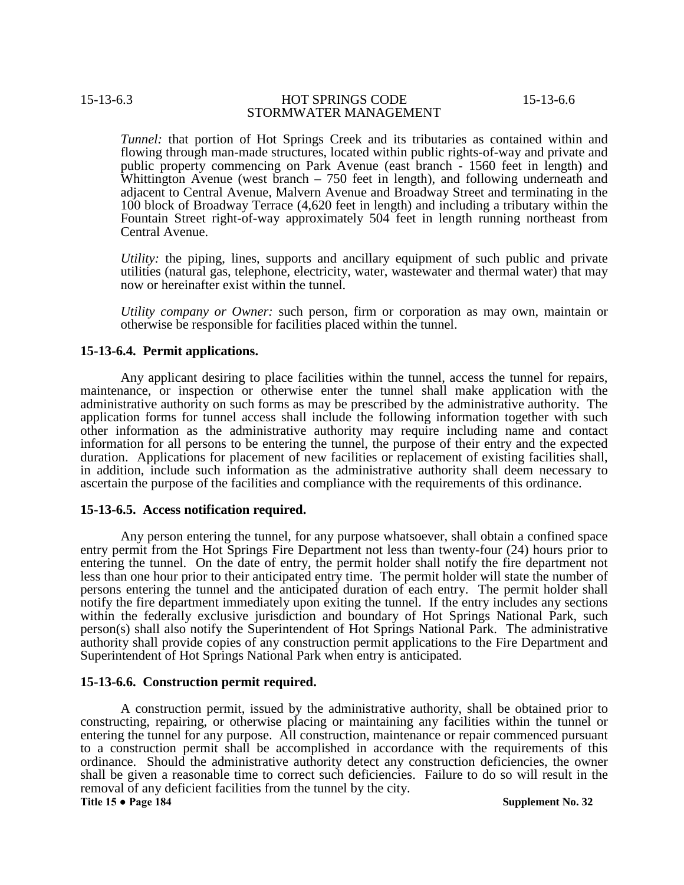*Tunnel:* that portion of Hot Springs Creek and its tributaries as contained within and flowing through man-made structures, located within public rights-of-way and private and public property commencing on Park Avenue (east branch - 1560 feet in length) and Whittington Avenue (west branch – 750 feet in length), and following underneath and adjacent to Central Avenue, Malvern Avenue and Broadway Street and terminating in the 100 block of Broadway Terrace (4,620 feet in length) and including a tributary within the Fountain Street right-of-way approximately 504 feet in length running northeast from Central Avenue.

*Utility:* the piping, lines, supports and ancillary equipment of such public and private utilities (natural gas, telephone, electricity, water, wastewater and thermal water) that may now or hereinafter exist within the tunnel.

*Utility company or Owner:* such person, firm or corporation as may own, maintain or otherwise be responsible for facilities placed within the tunnel.

### **15-13-6.4. Permit applications.**

Any applicant desiring to place facilities within the tunnel, access the tunnel for repairs, maintenance, or inspection or otherwise enter the tunnel shall make application with the administrative authority on such forms as may be prescribed by the administrative authority. The application forms for tunnel access shall include the following information together with such other information as the administrative authority may require including name and contact information for all persons to be entering the tunnel, the purpose of their entry and the expected duration. Applications for placement of new facilities or replacement of existing facilities shall, in addition, include such information as the administrative authority shall deem necessary to ascertain the purpose of the facilities and compliance with the requirements of this ordinance.

### **15-13-6.5. Access notification required.**

Any person entering the tunnel, for any purpose whatsoever, shall obtain a confined space entry permit from the Hot Springs Fire Department not less than twenty-four (24) hours prior to entering the tunnel. On the date of entry, the permit holder shall notify the fire department not less than one hour prior to their anticipated entry time. The permit holder will state the number of persons entering the tunnel and the anticipated duration of each entry. The permit holder shall notify the fire department immediately upon exiting the tunnel. If the entry includes any sections within the federally exclusive jurisdiction and boundary of Hot Springs National Park, such person(s) shall also notify the Superintendent of Hot Springs National Park. The administrative authority shall provide copies of any construction permit applications to the Fire Department and Superintendent of Hot Springs National Park when entry is anticipated.

### **15-13-6.6. Construction permit required.**

A construction permit, issued by the administrative authority, shall be obtained prior to constructing, repairing, or otherwise placing or maintaining any facilities within the tunnel or entering the tunnel for any purpose. All construction, maintenance or repair commenced pursuant to a construction permit shall be accomplished in accordance with the requirements of this ordinance. Should the administrative authority detect any construction deficiencies, the owner shall be given a reasonable time to correct such deficiencies. Failure to do so will result in the removal of any deficient facilities from the tunnel by the city. **Title 15 ● Page 184 Supplement No. 32**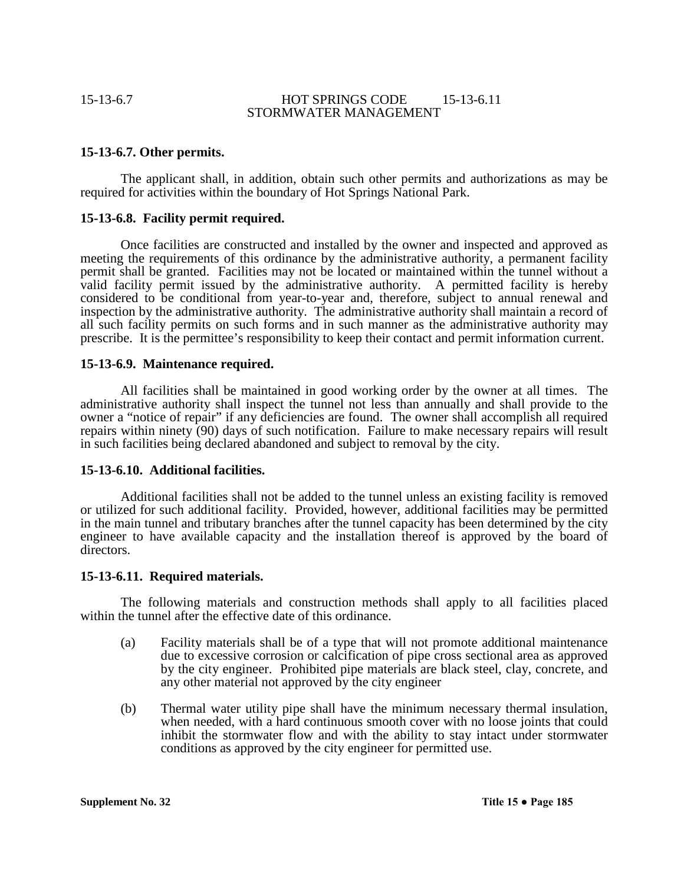## **15-13-6.7. Other permits.**

The applicant shall, in addition, obtain such other permits and authorizations as may be required for activities within the boundary of Hot Springs National Park.

### **15-13-6.8. Facility permit required.**

Once facilities are constructed and installed by the owner and inspected and approved as meeting the requirements of this ordinance by the administrative authority, a permanent facility permit shall be granted. Facilities may not be located or maintained within the tunnel without a valid facility permit issued by the administrative authority. A permitted facility is hereby considered to be conditional from year-to-year and, therefore, subject to annual renewal and inspection by the administrative authority. The administrative authority shall maintain a record of all such facility permits on such forms and in such manner as the administrative authority may prescribe. It is the permittee's responsibility to keep their contact and permit information current.

### **15-13-6.9. Maintenance required.**

All facilities shall be maintained in good working order by the owner at all times. The administrative authority shall inspect the tunnel not less than annually and shall provide to the owner a "notice of repair" if any deficiencies are found. The owner shall accomplish all required repairs within ninety (90) days of such notification. Failure to make necessary repairs will result in such facilities being declared abandoned and subject to removal by the city.

### **15-13-6.10. Additional facilities.**

Additional facilities shall not be added to the tunnel unless an existing facility is removed or utilized for such additional facility. Provided, however, additional facilities may be permitted in the main tunnel and tributary branches after the tunnel capacity has been determined by the city engineer to have available capacity and the installation thereof is approved by the board of directors.

### **15-13-6.11. Required materials.**

The following materials and construction methods shall apply to all facilities placed within the tunnel after the effective date of this ordinance.

- (a) Facility materials shall be of a type that will not promote additional maintenance due to excessive corrosion or calcification of pipe cross sectional area as approved by the city engineer. Prohibited pipe materials are black steel, clay, concrete, and any other material not approved by the city engineer
- (b) Thermal water utility pipe shall have the minimum necessary thermal insulation, when needed, with a hard continuous smooth cover with no loose joints that could inhibit the stormwater flow and with the ability to stay intact under stormwater conditions as approved by the city engineer for permitted use.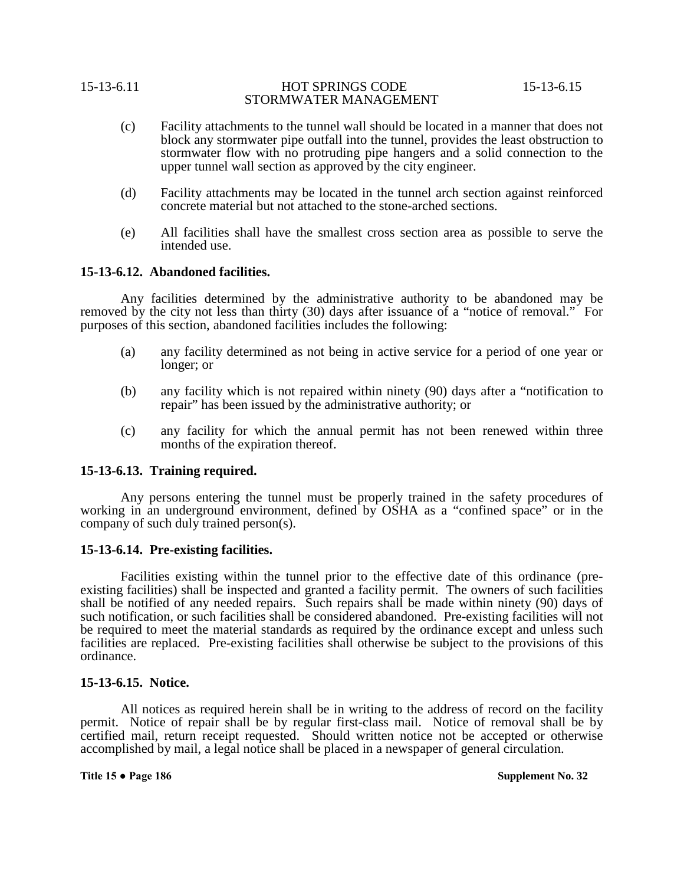- (c) Facility attachments to the tunnel wall should be located in a manner that does not block any stormwater pipe outfall into the tunnel, provides the least obstruction to stormwater flow with no protruding pipe hangers and a solid connection to the upper tunnel wall section as approved by the city engineer.
- (d) Facility attachments may be located in the tunnel arch section against reinforced concrete material but not attached to the stone-arched sections.
- (e) All facilities shall have the smallest cross section area as possible to serve the intended use.

### **15-13-6.12. Abandoned facilities.**

Any facilities determined by the administrative authority to be abandoned may be removed by the city not less than thirty (30) days after issuance of a "notice of removal." For purposes of this section, abandoned facilities includes the following:

- (a) any facility determined as not being in active service for a period of one year or longer; or
- (b) any facility which is not repaired within ninety (90) days after a "notification to repair" has been issued by the administrative authority; or
- (c) any facility for which the annual permit has not been renewed within three months of the expiration thereof.

# **15-13-6.13. Training required.**

Any persons entering the tunnel must be properly trained in the safety procedures of working in an underground environment, defined by OSHA as a "confined space" or in the company of such duly trained person(s).

### **15-13-6.14. Pre-existing facilities.**

Facilities existing within the tunnel prior to the effective date of this ordinance (pre-<br>existing facilities) shall be inspected and granted a facility permit. The owners of such facilities shall be notified of any needed repairs. Such repairs shall be made within ninety (90) days of such notification, or such facilities shall be considered abandoned. Pre-existing facilities will not be required to meet the material standards as required by the ordinance except and unless such facilities are replaced. Pre-existing facilities shall otherwise be subject to the provisions of this ordinance.

### **15-13-6.15. Notice.**

All notices as required herein shall be in writing to the address of record on the facility permit. Notice of repair shall be by regular first-class mail. Notice of removal shall be by certified mail, return receipt requested. Should written notice not be accepted or otherwise accomplished by mail, a legal notice shall be placed in a newspaper of general circulation.

**Title 15 ● Page 186 Supplement No. 32**